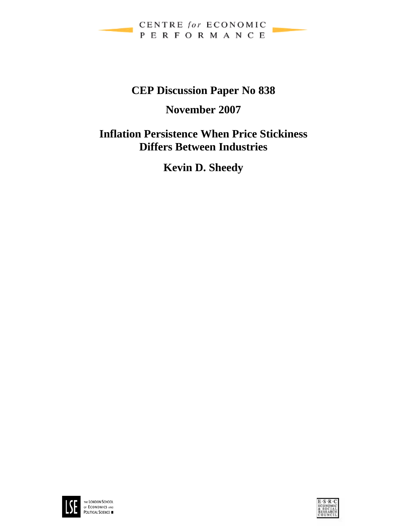

# **CEP Discussion Paper No 838**

# **November 2007**

**Inflation Persistence When Price Stickiness Differs Between Industries** 

**Kevin D. Sheedy** 



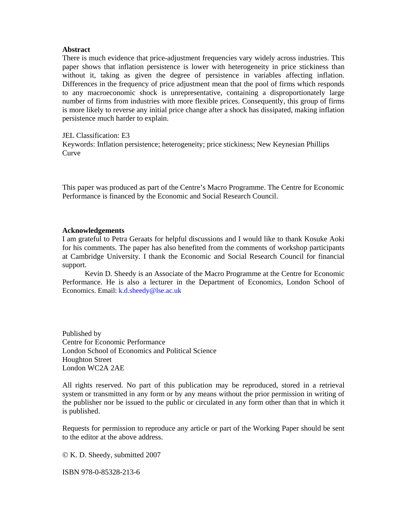#### **Abstract**

There is much evidence that price-adjustment frequencies vary widely across industries. This paper shows that inflation persistence is lower with heterogeneity in price stickiness than without it, taking as given the degree of persistence in variables affecting inflation. Differences in the frequency of price adjustment mean that the pool of firms which responds to any macroeconomic shock is unrepresentative, containing a disproportionately large number of firms from industries with more flexible prices. Consequently, this group of firms is more likely to reverse any initial price change after a shock has dissipated, making inflation persistence much harder to explain.

JEL Classification: E3 Keywords: Inflation persistence; heterogeneity; price stickiness; New Keynesian Phillips **Curve** 

This paper was produced as part of the Centre's Macro Programme. The Centre for Economic Performance is financed by the Economic and Social Research Council.

#### **Acknowledgements**

I am grateful to Petra Geraats for helpful discussions and I would like to thank Kosuke Aoki for his comments. The paper has also benefited from the comments of workshop participants at Cambridge University. I thank the Economic and Social Research Council for financial support.

Kevin D. Sheedy is an Associate of the Macro Programme at the Centre for Economic Performance. He is also a lecturer in the Department of Economics, London School of Economics. Email: k.d.sheedy@lse.ac.uk

Published by Centre for Economic Performance London School of Economics and Political Science Houghton Street London WC2A 2AE

All rights reserved. No part of this publication may be reproduced, stored in a retrieval system or transmitted in any form or by any means without the prior permission in writing of the publisher nor be issued to the public or circulated in any form other than that in which it is published.

Requests for permission to reproduce any article or part of the Working Paper should be sent to the editor at the above address.

© K. D. Sheedy, submitted 2007

ISBN 978-0-85328-213-6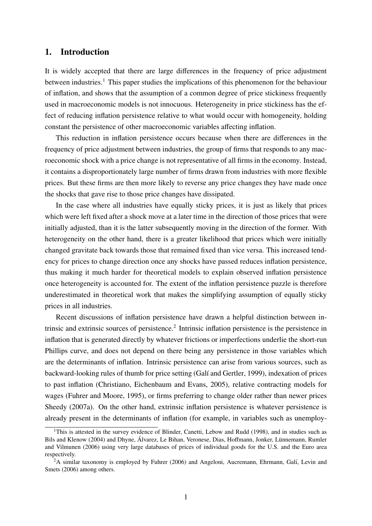## 1. Introduction

It is widely accepted that there are large differences in the frequency of price adjustment between industries.<sup>1</sup> This paper studies the implications of this phenomenon for the behaviour of inflation, and shows that the assumption of a common degree of price stickiness frequently used in macroeconomic models is not innocuous. Heterogeneity in price stickiness has the effect of reducing inflation persistence relative to what would occur with homogeneity, holding constant the persistence of other macroeconomic variables affecting inflation.

This reduction in inflation persistence occurs because when there are differences in the frequency of price adjustment between industries, the group of firms that responds to any macroeconomic shock with a price change is not representative of all firms in the economy. Instead, it contains a disproportionately large number of firms drawn from industries with more flexible prices. But these firms are then more likely to reverse any price changes they have made once the shocks that gave rise to those price changes have dissipated.

In the case where all industries have equally sticky prices, it is just as likely that prices which were left fixed after a shock move at a later time in the direction of those prices that were initially adjusted, than it is the latter subsequently moving in the direction of the former. With heterogeneity on the other hand, there is a greater likelihood that prices which were initially changed gravitate back towards those that remained fixed than vice versa. This increased tendency for prices to change direction once any shocks have passed reduces inflation persistence, thus making it much harder for theoretical models to explain observed inflation persistence once heterogeneity is accounted for. The extent of the inflation persistence puzzle is therefore underestimated in theoretical work that makes the simplifying assumption of equally sticky prices in all industries.

Recent discussions of inflation persistence have drawn a helpful distinction between intrinsic and extrinsic sources of persistence.<sup>2</sup> Intrinsic inflation persistence is the persistence in inflation that is generated directly by whatever frictions or imperfections underlie the short-run Phillips curve, and does not depend on there being any persistence in those variables which are the determinants of inflation. Intrinsic persistence can arise from various sources, such as backward-looking rules of thumb for price setting (Galí and Gertler, 1999), indexation of prices to past inflation (Christiano, Eichenbaum and Evans, 2005), relative contracting models for wages (Fuhrer and Moore, 1995), or firms preferring to change older rather than newer prices Sheedy (2007a). On the other hand, extrinsic inflation persistence is whatever persistence is already present in the determinants of inflation (for example, in variables such as unemploy-

<sup>&</sup>lt;sup>1</sup>This is attested in the survey evidence of Blinder, Canetti, Lebow and Rudd (1998), and in studies such as Bils and Klenow (2004) and Dhyne, Álvarez, Le Bihan, Veronese, Dias, Hoffmann, Jonker, Lünnemann, Rumler and Vilmunen (2006) using very large databases of prices of individual goods for the U.S. and the Euro area respectively.

 $2A$  similar taxonomy is employed by Fuhrer (2006) and Angeloni, Aucremann, Ehrmann, Galí, Levin and Smets (2006) among others.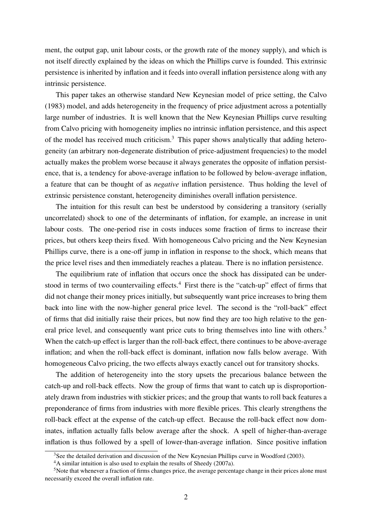ment, the output gap, unit labour costs, or the growth rate of the money supply), and which is not itself directly explained by the ideas on which the Phillips curve is founded. This extrinsic persistence is inherited by inflation and it feeds into overall inflation persistence along with any intrinsic persistence.

This paper takes an otherwise standard New Keynesian model of price setting, the Calvo (1983) model, and adds heterogeneity in the frequency of price adjustment across a potentially large number of industries. It is well known that the New Keynesian Phillips curve resulting from Calvo pricing with homogeneity implies no intrinsic inflation persistence, and this aspect of the model has received much criticism.3 This paper shows analytically that adding heterogeneity (an arbitrary non-degenerate distribution of price-adjustment frequencies) to the model actually makes the problem worse because it always generates the opposite of inflation persistence, that is, a tendency for above-average inflation to be followed by below-average inflation, a feature that can be thought of as *negative* inflation persistence. Thus holding the level of extrinsic persistence constant, heterogeneity diminishes overall inflation persistence.

The intuition for this result can best be understood by considering a transitory (serially uncorrelated) shock to one of the determinants of inflation, for example, an increase in unit labour costs. The one-period rise in costs induces some fraction of firms to increase their prices, but others keep theirs fixed. With homogeneous Calvo pricing and the New Keynesian Phillips curve, there is a one-off jump in inflation in response to the shock, which means that the price level rises and then immediately reaches a plateau. There is no inflation persistence.

The equilibrium rate of inflation that occurs once the shock has dissipated can be understood in terms of two countervailing effects.<sup>4</sup> First there is the "catch-up" effect of firms that did not change their money prices initially, but subsequently want price increases to bring them back into line with the now-higher general price level. The second is the "roll-back" effect of firms that did initially raise their prices, but now find they are too high relative to the general price level, and consequently want price cuts to bring themselves into line with others.<sup>5</sup> When the catch-up effect is larger than the roll-back effect, there continues to be above-average inflation; and when the roll-back effect is dominant, inflation now falls below average. With homogeneous Calvo pricing, the two effects always exactly cancel out for transitory shocks.

The addition of heterogeneity into the story upsets the precarious balance between the catch-up and roll-back effects. Now the group of firms that want to catch up is disproportionately drawn from industries with stickier prices; and the group that wants to roll back features a preponderance of firms from industries with more flexible prices. This clearly strengthens the roll-back effect at the expense of the catch-up effect. Because the roll-back effect now dominates, inflation actually falls below average after the shock. A spell of higher-than-average inflation is thus followed by a spell of lower-than-average inflation. Since positive inflation

<sup>&</sup>lt;sup>3</sup>See the detailed derivation and discussion of the New Keynesian Phillips curve in Woodford (2003).

<sup>&</sup>lt;sup>4</sup>A similar intuition is also used to explain the results of Sheedy (2007a).

<sup>&</sup>lt;sup>5</sup>Note that whenever a fraction of firms changes price, the average percentage change in their prices alone must necessarily exceed the overall inflation rate.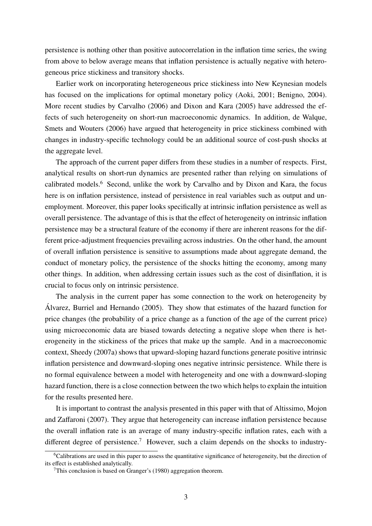persistence is nothing other than positive autocorrelation in the inflation time series, the swing from above to below average means that inflation persistence is actually negative with heterogeneous price stickiness and transitory shocks.

Earlier work on incorporating heterogeneous price stickiness into New Keynesian models has focused on the implications for optimal monetary policy (Aoki, 2001; Benigno, 2004). More recent studies by Carvalho (2006) and Dixon and Kara (2005) have addressed the effects of such heterogeneity on short-run macroeconomic dynamics. In addition, de Walque, Smets and Wouters (2006) have argued that heterogeneity in price stickiness combined with changes in industry-specific technology could be an additional source of cost-push shocks at the aggregate level.

The approach of the current paper differs from these studies in a number of respects. First, analytical results on short-run dynamics are presented rather than relying on simulations of calibrated models.<sup>6</sup> Second, unlike the work by Carvalho and by Dixon and Kara, the focus here is on inflation persistence, instead of persistence in real variables such as output and unemployment. Moreover, this paper looks specifically at intrinsic inflation persistence as well as overall persistence. The advantage of this is that the effect of heterogeneity on intrinsic inflation persistence may be a structural feature of the economy if there are inherent reasons for the different price-adjustment frequencies prevailing across industries. On the other hand, the amount of overall inflation persistence is sensitive to assumptions made about aggregate demand, the conduct of monetary policy, the persistence of the shocks hitting the economy, among many other things. In addition, when addressing certain issues such as the cost of disinflation, it is crucial to focus only on intrinsic persistence.

The analysis in the current paper has some connection to the work on heterogeneity by Alvarez, Burriel and Hernando (2005). They show that estimates of the hazard function for ´ price changes (the probability of a price change as a function of the age of the current price) using microeconomic data are biased towards detecting a negative slope when there is heterogeneity in the stickiness of the prices that make up the sample. And in a macroeconomic context, Sheedy (2007a) shows that upward-sloping hazard functions generate positive intrinsic inflation persistence and downward-sloping ones negative intrinsic persistence. While there is no formal equivalence between a model with heterogeneity and one with a downward-sloping hazard function, there is a close connection between the two which helps to explain the intuition for the results presented here.

It is important to contrast the analysis presented in this paper with that of Altissimo, Mojon and Zaffaroni (2007). They argue that heterogeneity can increase inflation persistence because the overall inflation rate is an average of many industry-specific inflation rates, each with a different degree of persistence.<sup>7</sup> However, such a claim depends on the shocks to industry-

<sup>6</sup>Calibrations are used in this paper to assess the quantitative significance of heterogeneity, but the direction of its effect is established analytically.

 $7$ This conclusion is based on Granger's (1980) aggregation theorem.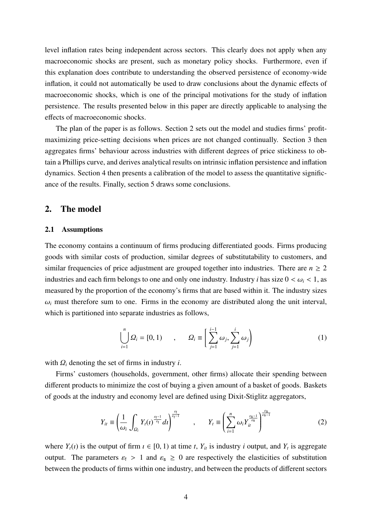level inflation rates being independent across sectors. This clearly does not apply when any macroeconomic shocks are present, such as monetary policy shocks. Furthermore, even if this explanation does contribute to understanding the observed persistence of economy-wide inflation, it could not automatically be used to draw conclusions about the dynamic effects of macroeconomic shocks, which is one of the principal motivations for the study of inflation persistence. The results presented below in this paper are directly applicable to analysing the effects of macroeconomic shocks.

The plan of the paper is as follows. Section 2 sets out the model and studies firms' profitmaximizing price-setting decisions when prices are not changed continually. Section 3 then aggregates firms' behaviour across industries with different degrees of price stickiness to obtain a Phillips curve, and derives analytical results on intrinsic inflation persistence and inflation dynamics. Section 4 then presents a calibration of the model to assess the quantitative significance of the results. Finally, section 5 draws some conclusions.

# 2. The model

## 2.1 Assumptions

The economy contains a continuum of firms producing differentiated goods. Firms producing goods with similar costs of production, similar degrees of substitutability to customers, and similar frequencies of price adjustment are grouped together into industries. There are  $n \geq 2$ industries and each firm belongs to one and only one industry. Industry *i* has size  $0 < \omega_i < 1$ , as measured by the proportion of the economy's firms that are based within it. The industry sizes  $\omega_i$  must therefore sum to one. Firms in the economy are distributed along the unit interval, which is partitioned into separate industries as follows,

$$
\bigcup_{i=1}^{n} \Omega_i = [0, 1) \qquad , \qquad \Omega_i \equiv \left[ \sum_{j=1}^{i-1} \omega_j, \sum_{j=1}^{i} \omega_j \right) \tag{1}
$$

with  $Q_i$  denoting the set of firms in industry *i*.

Firms' customers (households, government, other firms) allocate their spending between different products to minimize the cost of buying a given amount of a basket of goods. Baskets of goods at the industry and economy level are defined using Dixit-Stiglitz aggregators,

$$
Y_{it} \equiv \left(\frac{1}{\omega_i} \int_{\Omega_i} Y_t(\tau)^{\frac{\varepsilon_{\mathsf{f}}-1}{\varepsilon_{\mathsf{f}}}} d\tau\right)^{\frac{\varepsilon_{\mathsf{f}}}{\varepsilon_{\mathsf{f}}-1}}, \qquad Y_t \equiv \left(\sum_{i=1}^n \omega_i Y_{it}^{\frac{\varepsilon_{\mathsf{S}}-1}{\varepsilon_{\mathsf{S}}}}\right)^{\frac{\varepsilon_{\mathsf{S}}}{\varepsilon_{\mathsf{S}}-1}} \tag{2}
$$

where  $Y_t(i)$  is the output of firm  $i \in [0, 1)$  at time *t*,  $Y_{it}$  is industry *i* output, and  $Y_t$  is aggregate output. The parameters  $\varepsilon_f > 1$  and  $\varepsilon_s \geq 0$  are respectively the elasticities of substitution between the products of firms within one industry, and between the products of different sectors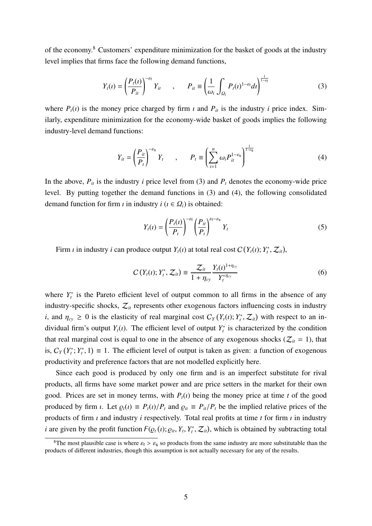of the economy.<sup>8</sup> Customers' expenditure minimization for the basket of goods at the industry level implies that firms face the following demand functions,

$$
Y_t(\iota) = \left(\frac{P_t(\iota)}{P_{it}}\right)^{-\varepsilon_t} Y_{it} \qquad , \qquad P_{it} \equiv \left(\frac{1}{\omega_i} \int_{\Omega_i} P_t(\iota)^{1-\varepsilon_t} d\iota \right)^{\frac{1}{1-\varepsilon_t}}
$$
(3)

where  $P_t(t)$  is the money price charged by firm  $t$  and  $P_{it}$  is the industry  $i$  price index. Similarly, expenditure minimization for the economy-wide basket of goods implies the following industry-level demand functions:

$$
Y_{it} = \left(\frac{P_{it}}{P_t}\right)^{-\varepsilon_s} Y_t \qquad , \qquad P_t \equiv \left(\sum_{i=1}^n \omega_i P_{it}^{1-\varepsilon_s}\right)^{\frac{1}{1-\varepsilon_s}}
$$
(4)

In the above,  $P_{it}$  is the industry *i* price level from (3) and  $P_t$  denotes the economy-wide price level. By putting together the demand functions in (3) and (4), the following consolidated demand function for firm  $\iota$  in industry  $i$  ( $\iota \in \Omega_i$ ) is obtained:

$$
Y_t(\iota) = \left(\frac{P_t(\iota)}{P_t}\right)^{-\varepsilon_t} \left(\frac{P_{it}}{P_t}\right)^{\varepsilon_t - \varepsilon_s} Y_t \tag{5}
$$

Firm *i* in industry *i* can produce output  $Y_t(i)$  at total real cost  $C(Y_t(i); Y_t^*, Z_{it})$ ,

$$
C(Y_t(i); Y_t^*, Z_{it}) \equiv \frac{Z_{it}}{1 + \eta_{cy}} \frac{Y_t(i)^{1 + \eta_{cy}}}{Y_t^{*\eta_{cy}}}
$$
(6)

where  $Y_t^*$  is the Pareto efficient level of output common to all firms in the absence of any industry-specific shocks,  $\mathcal{Z}_{it}$  represents other exogenous factors influencing costs in industry *i*, and  $\eta_{cy} \geq 0$  is the elasticity of real marginal cost  $C_Y(Y_t(i); Y_t^*, Z_{it})$  with respect to an individual firm's output  $Y_t(i)$ . The efficient level of output  $Y_t^*$  is characterized by the condition that real marginal cost is equal to one in the absence of any exogenous shocks ( $\mathcal{Z}_{it} = 1$ ), that is,  $C_Y(Y_t^*, Y_t^*, 1) \equiv 1$ . The efficient level of output is taken as given: a function of exogenous productivity and preference factors that are not modelled explicitly here.

Since each good is produced by only one firm and is an imperfect substitute for rival products, all firms have some market power and are price setters in the market for their own good. Prices are set in money terms, with  $P_t(t)$  being the money price at time *t* of the good produced by firm *i*. Let  $\rho_t(i) \equiv P_t(i)/P_t$  and  $\rho_i \equiv P_{it}/P_t$  be the implied relative prices of the products of firm ı and industry *i* respectively. Total real profits at time *t* for firm ı in industry *i* are given by the profit function  $F(\varrho_t(i); \varrho_{it}, Y_t, Y_t^*, \mathcal{Z}_{it})$ , which is obtained by subtracting total

<sup>&</sup>lt;sup>8</sup>The most plausible case is where  $\varepsilon_f > \varepsilon_s$  so products from the same industry are more substitutable than the products of different industries, though this assumption is not actually necessary for any of the results.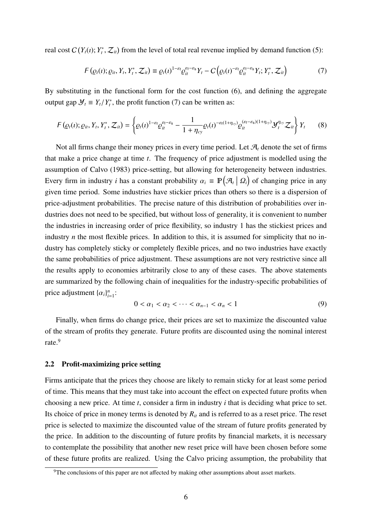real cost  $C(Y_t(i); Y_t^*, Z_{it})$  from the level of total real revenue implied by demand function (5):

$$
F(\varrho_t(\iota); \varrho_{it}, Y_t, Y_t^*, \mathcal{Z}_{it}) \equiv \varrho_t(\iota)^{1-\varepsilon_t} \varrho_{it}^{\varepsilon_t-\varepsilon_s} Y_t - C\Big(\varrho_t(\iota)^{-\varepsilon_t} \varrho_{it}^{\varepsilon_t-\varepsilon_s} Y_t; Y_t^*, \mathcal{Z}_{it}\Big) \tag{7}
$$

By substituting in the functional form for the cost function (6), and defining the aggregate output gap  $\mathcal{Y}_t \equiv Y_t/Y_t^*$ , the profit function (7) can be written as:

$$
F(\varrho_t(\iota); \varrho_{it}, Y_t, Y_t^*, \mathcal{Z}_{it}) = \left\{ \varrho_t(\iota)^{1-\varepsilon_t} \varrho_{it}^{\varepsilon_t-\varepsilon_s} - \frac{1}{1+\eta_{cy}} \varrho_t(\iota)^{-\varepsilon_t(1+\eta_{cy})} \varrho_{it}^{(\varepsilon_t-\varepsilon_s)(1+\eta_{cy})} \mathcal{Y}_t^{\eta_{cy}} \mathcal{Z}_{it} \right\} Y_t \qquad (8)
$$

Not all firms change their money prices in every time period. Let  $\mathcal{A}_t$  denote the set of firms that make a price change at time *t*. The frequency of price adjustment is modelled using the assumption of Calvo (1983) price-setting, but allowing for heterogeneity between industries. Every firm in industry *i* has a constant probability  $\alpha_i \equiv \mathbb{P}(\mathcal{A}_i | \Omega_i)$  of changing price in any given time period. Some industries have stickier prices than others so there is a dispersion of price-adjustment probabilities. The precise nature of this distribution of probabilities over industries does not need to be specified, but without loss of generality, it is convenient to number the industries in increasing order of price flexibility, so industry 1 has the stickiest prices and industry *n* the most flexible prices. In addition to this, it is assumed for simplicity that no industry has completely sticky or completely flexible prices, and no two industries have exactly the same probabilities of price adjustment. These assumptions are not very restrictive since all the results apply to economies arbitrarily close to any of these cases. The above statements are summarized by the following chain of inequalities for the industry-specific probabilities of price adjustment  $\{\alpha_i\}_{i=1}^n$ :

$$
0 < \alpha_1 < \alpha_2 < \dots < \alpha_{n-1} < \alpha_n < 1 \tag{9}
$$

Finally, when firms do change price, their prices are set to maximize the discounted value of the stream of profits they generate. Future profits are discounted using the nominal interest rate.<sup>9</sup>

#### 2.2 Profit-maximizing price setting

Firms anticipate that the prices they choose are likely to remain sticky for at least some period of time. This means that they must take into account the effect on expected future profits when choosing a new price. At time *t*, consider a firm in industry *i* that is deciding what price to set. Its choice of price in money terms is denoted by  $R_{it}$  and is referred to as a reset price. The reset price is selected to maximize the discounted value of the stream of future profits generated by the price. In addition to the discounting of future profits by financial markets, it is necessary to contemplate the possibility that another new reset price will have been chosen before some of these future profits are realized. Using the Calvo pricing assumption, the probability that

<sup>&</sup>lt;sup>9</sup>The conclusions of this paper are not affected by making other assumptions about asset markets.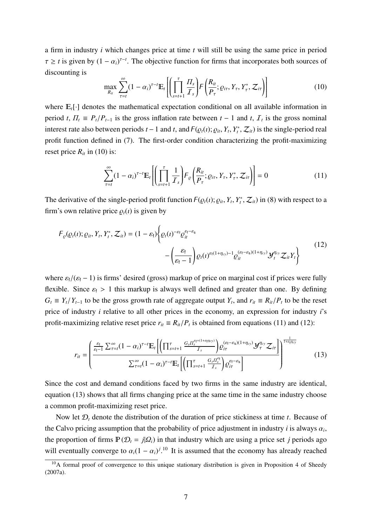a firm in industry *i* which changes price at time *t* will still be using the same price in period  $\tau \geq t$  is given by  $(1 - \alpha_i)^{\tau - t}$ . The objective function for firms that incorporates both sources of discounting is

$$
\max_{R_{it}} \sum_{\tau=t}^{\infty} (1-\alpha_i)^{\tau-t} \mathbb{E}_t \left[ \left( \prod_{s=t+1}^{\tau} \frac{\Pi_s}{\mathcal{I}_s} \right) F\left( \frac{R_{it}}{P_{\tau}}; \varrho_{i\tau}, Y_{\tau}, Y_{\tau}^*, \mathcal{Z}_{i\tau} \right) \right]
$$
(10)

where  $E_t[\cdot]$  denotes the mathematical expectation conditional on all available information in period *t*,  $\Pi_t \equiv P_t/P_{t-1}$  is the gross inflation rate between  $t-1$  and  $t$ ,  $\mathcal{I}_t$  is the gross nominal interest rate also between periods  $t-1$  and  $t$ , and  $F(\varrho_t(t); \varrho_{it}, Y_t, Y_t^*, Z_{it})$  is the single-period real profit function defined in (7). The first-order condition characterizing the profit-maximizing reset price  $R_{it}$  in (10) is:

$$
\sum_{\tau=t}^{\infty} (1 - \alpha_i)^{\tau - t} \mathbb{E}_t \left[ \left( \prod_{s=t+1}^{\tau} \frac{1}{\mathcal{I}_s} \right) F_{\varrho} \left( \frac{R_{it}}{P_{\tau}}; \varrho_{i\tau}, Y_{\tau}, Y_{\tau}^*, \mathcal{Z}_{i\tau} \right) \right] = 0 \tag{11}
$$

The derivative of the single-period profit function  $F(\varrho_t(i); \varrho_i, Y_t, Y_t^*, Z_i)$  in (8) with respect to a firm's own relative price  $\rho_t(i)$  is given by

$$
F_{\varrho}(\varrho_t(t); \varrho_{it}, Y_t, Y_t^*, \mathcal{Z}_{it}) = (1 - \varepsilon_t) \left\{ \varrho_t(t)^{-\varepsilon_t} \varrho_{it}^{\varepsilon_t - \varepsilon_s} - \left( \frac{\varepsilon_t}{\varepsilon_t - 1} \right) \varrho_t(t)^{\varepsilon_t (1 + \eta_{cy}) - 1} \varrho_{it}^{(\varepsilon_t - \varepsilon_s)(1 + \eta_{cy})} \mathcal{Y}_t^{\eta_{cy}} \mathcal{Z}_{it} Y_t \right\}
$$
(12)

where  $\varepsilon_f/(\varepsilon_f - 1)$  is firms' desired (gross) markup of price on marginal cost if prices were fully flexible. Since  $\varepsilon_f > 1$  this markup is always well defined and greater than one. By defining  $G_t \equiv Y_t/Y_{t-1}$  to be the gross growth rate of aggregate output  $Y_t$ , and  $r_{it} \equiv R_{it}/P_t$  to be the reset price of industry *i* relative to all other prices in the economy, an expression for industry *i*'s profit-maximizing relative reset price  $r_{it} \equiv R_{it}/P_t$  is obtained from equations (11) and (12):

$$
r_{it} = \left(\frac{\frac{\varepsilon_{f}}{\varepsilon_{f}-1} \sum_{\tau=t}^{\infty} (1-\alpha_{i})^{\tau-t} \mathbb{E}_{t} \left[ \left( \prod_{s=t+1}^{\tau} \frac{G_{s} \Pi_{s}^{\varepsilon_{f}+(1+\varepsilon_{f} \eta_{CV})}}{I_{s}} \right) \varrho_{it}^{(\varepsilon_{f}-\varepsilon_{s})(1+\eta_{CV})} \mathcal{Y}_{\tau}^{\eta_{CV}} \mathcal{Z}_{it} \right]}{\sum_{\tau=t}^{\infty} (1-\alpha_{i})^{\tau-t} \mathbb{E}_{t} \left[ \left( \prod_{s=t+1}^{\tau} \frac{G_{s} \Pi_{s}^{\varepsilon_{f}}}{I_{s}} \right) \varrho_{it}^{\varepsilon_{f}-\varepsilon_{s}} \right]} \right)^{\frac{1}{1+\varepsilon_{f} \eta_{CV}}} \tag{13}
$$

Since the cost and demand conditions faced by two firms in the same industry are identical, equation (13) shows that all firms changing price at the same time in the same industry choose a common profit-maximizing reset price.

Now let D*<sup>t</sup>* denote the distribution of the duration of price stickiness at time *t*. Because of the Calvo pricing assumption that the probability of price adjustment in industry *i* is always  $\alpha_i$ , the proportion of firms  $\mathbb{P}(\mathcal{D}_t = j | \mathcal{Q}_i)$  in that industry which are using a price set *j* periods ago will eventually converge to  $\alpha_i(1 - \alpha_i)^{j}$ .<sup>10</sup> It is assumed that the economy has already reached

<sup>&</sup>lt;sup>10</sup>A formal proof of convergence to this unique stationary distribution is given in Proposition 4 of Sheedy (2007a).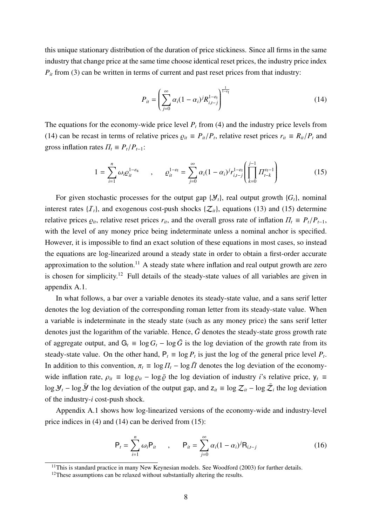this unique stationary distribution of the duration of price stickiness. Since all firms in the same industry that change price at the same time choose identical reset prices, the industry price index  $P_{it}$  from (3) can be written in terms of current and past reset prices from that industry:

$$
P_{it} = \left(\sum_{j=0}^{\infty} \alpha_i (1-\alpha_i)^j R_{i,t-j}^{1-\epsilon_i}\right)^{\frac{1}{1-\epsilon_i}}
$$
(14)

The equations for the economy-wide price level  $P<sub>t</sub>$  from (4) and the industry price levels from (14) can be recast in terms of relative prices  $\rho_{it} \equiv P_{it}/P_t$ , relative reset prices  $r_{it} \equiv R_{it}/P_t$  and gross inflation rates  $\Pi_t \equiv P_t/P_{t-1}$ :

$$
1 = \sum_{i=1}^{n} \omega_i \varrho_{it}^{1-\varepsilon_s} \qquad , \qquad \varrho_{it}^{1-\varepsilon_f} = \sum_{j=0}^{\infty} \alpha_i (1-\alpha_i)^j r_{i,t-j}^{1-\varepsilon_f} \left( \prod_{k=0}^{j-1} \Pi_{t-k}^{\varepsilon_f - 1} \right) \tag{15}
$$

For given stochastic processes for the output gap  $\{\mathcal{Y}_t\}$ , real output growth  $\{G_t\}$ , nominal interest rates  $\{I_t\}$ , and exogenous cost-push shocks  $\{Z_{it}\}$ , equations (13) and (15) determine relative prices  $\varrho_{it}$ , relative reset prices  $r_{it}$ , and the overall gross rate of inflation  $\Pi_t \equiv P_t/P_{t-1}$ , with the level of any money price being indeterminate unless a nominal anchor is specified. However, it is impossible to find an exact solution of these equations in most cases, so instead the equations are log-linearized around a steady state in order to obtain a first-order accurate approximation to the solution.<sup>11</sup> A steady state where inflation and real output growth are zero is chosen for simplicity.<sup>12</sup> Full details of the steady-state values of all variables are given in appendix A.1.

In what follows, a bar over a variable denotes its steady-state value, and a sans serif letter denotes the log deviation of the corresponding roman letter from its steady-state value. When a variable is indeterminate in the steady state (such as any money price) the sans serif letter denotes just the logarithm of the variable. Hence,  $\bar{G}$  denotes the steady-state gross growth rate of aggregate output, and  $G_t = \log G_t - \log \bar{G}$  is the log deviation of the growth rate from its steady-state value. On the other hand,  $P_t \equiv \log P_t$  is just the log of the general price level  $P_t$ . In addition to this convention,  $\pi_t \equiv \log \Pi_t - \log \bar{\Pi}$  denotes the log deviation of the economywide inflation rate,  $\rho_{it} \equiv \log \rho_{it} - \log \bar{\rho}$  the log deviation of industry *i*'s relative price,  $y_t \equiv$ log  $\mathcal{Y}_t$  − log  $\bar{\mathcal{Y}}$  the log deviation of the output gap, and  $z_{it} \equiv \log \mathcal{Z}_{it}$  − log  $\bar{\mathcal{Z}}_i$  the log deviation of the industry-*i* cost-push shock.

Appendix A.1 shows how log-linearized versions of the economy-wide and industry-level price indices in (4) and (14) can be derived from (15):

$$
P_{t} = \sum_{i=1}^{n} \omega_{i} P_{it} , \qquad P_{it} = \sum_{j=0}^{\infty} \alpha_{i} (1 - \alpha_{i})^{j} R_{i,t-j}
$$
(16)

 $11$ This is standard practice in many New Keynesian models. See Woodford (2003) for further details.

 $12$ These assumptions can be relaxed without substantially altering the results.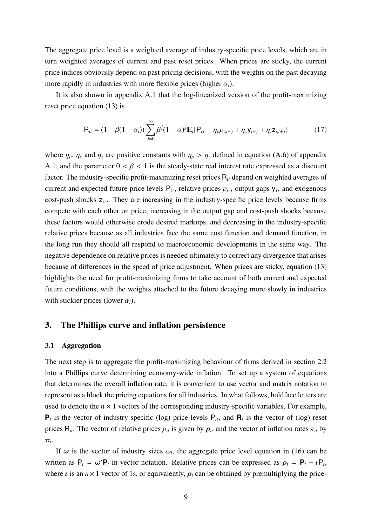The aggregate price level is a weighted average of industry-specific price levels, which are in turn weighted averages of current and past reset prices. When prices are sticky, the current price indices obviously depend on past pricing decisions, with the weights on the past decaying more rapidly in industries with more flexible prices (higher  $\alpha_i$ ).

It is also shown in appendix A.1 that the log-linearized version of the profit-maximizing reset price equation (13) is

$$
\mathbf{R}_{it} = (1 - \beta(1 - \alpha_i)) \sum_{j=0}^{\infty} \beta^j (1 - \alpha)^j \mathbb{E}_t [\mathbf{P}_{i\tau} - \eta_{\rho} \rho_{i,t+j} + \eta_y \mathbf{y}_{t+j} + \eta_z \mathbf{z}_{i,t+j}] \tag{17}
$$

where  $\eta_\rho$ ,  $\eta_y$  and  $\eta_z$  are positive constants with  $\eta_\rho > \eta_z$  defined in equation (A.6) of appendix A.1, and the parameter  $0 < \beta < 1$  is the steady-state real interest rate expressed as a discount factor. The industry-specific profit-maximizing reset prices R*it* depend on weighted averages of current and expected future price levels  $P_{i\tau}$ , relative prices  $\rho_{i\tau}$ , output gaps  $y_{\tau}$ , and exogenous cost-push shocks z*i*<sup>τ</sup>. They are increasing in the industry-specific price levels because firms compete with each other on price, increasing in the output gap and cost-push shocks because these factors would otherwise erode desired markups, and decreasing in the industry-specific relative prices because as all industries face the same cost function and demand function, in the long run they should all respond to macroeconomic developments in the same way. The negative dependence on relative prices is needed ultimately to correct any divergence that arises because of differences in the speed of price adjustment. When prices are sticky, equation (13) highlights the need for profit-maximizing firms to take account of both current and expected future conditions, with the weights attached to the future decaying more slowly in industries with stickier prices (lower  $\alpha_i$ ).

# 3. The Phillips curve and inflation persistence

#### 3.1 Aggregation

The next step is to aggregate the profit-maximizing behaviour of firms derived in section 2.2 into a Phillips curve determining economy-wide inflation. To set up a system of equations that determines the overall inflation rate, it is convenient to use vector and matrix notation to represent as a block the pricing equations for all industries. In what follows, boldface letters are used to denote the  $n \times 1$  vectors of the corresponding industry-specific variables. For example,  $P_t$  is the vector of industry-specific (log) price levels  $P_{it}$ , and  $\mathbf{R}_t$  is the vector of (log) reset prices  $R_{it}$ . The vector of relative prices  $\rho_{it}$  is given by  $\rho_t$ , and the vector of inflation rates  $\pi_{it}$  by *πt*.

If  $\omega$  is the vector of industry sizes  $\omega_i$ , the aggregate price level equation in (16) can be written as  $P_t = \omega' P_t$  in vector notation. Relative prices can be expressed as  $\rho_t = P_t - \nu P_t$ , where  $\iota$  is an  $n \times 1$  vector of 1s, or equivalently,  $\rho_t$  can be obtained by premultiplying the price-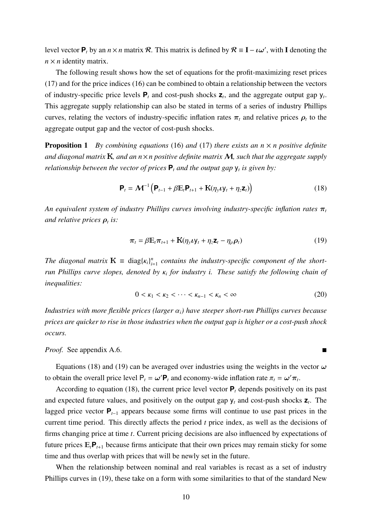level vector  $P_t$  by an  $n \times n$  matrix R. This matrix is defined by  $R \equiv I - \iota \omega'$ , with I denoting the  $n \times n$  identity matrix.

The following result shows how the set of equations for the profit-maximizing reset prices (17) and for the price indices (16) can be combined to obtain a relationship between the vectors of industry-specific price levels  $P_t$  and cost-push shocks  $Z_t$ , and the aggregate output gap  $y_t$ . This aggregate supply relationship can also be stated in terms of a series of industry Phillips curves, relating the vectors of industry-specific inflation rates  $\pi_t$  and relative prices  $\rho_t$  to the aggregate output gap and the vector of cost-push shocks.

**Proposition 1** By combining equations (16) and (17) there exists an  $n \times n$  positive definite *and diagonal matrix* K*, and an n*×*n positive definite matrix* M*, such that the aggregate supply relationship between the vector of prices*  $P_t$  *and the output gap*  $y_t$  *is given by:* 

$$
\mathbf{P}_t = \mathbf{\mathcal{M}}^{-1} \left( \mathbf{P}_{t-1} + \beta \mathbb{E}_t \mathbf{P}_{t+1} + \mathbf{K} (\eta_y \mathbf{U}_t + \eta_z \mathbf{Z}_t) \right)
$$
(18)

*An equivalent system of industry Phillips curves involving industry-specific inflation rates π<sup>t</sup> and relative prices*  $\rho_t$  *is:* 

$$
\boldsymbol{\pi}_t = \beta \mathbb{E}_t \boldsymbol{\pi}_{t+1} + \mathbf{K} (\eta_y \boldsymbol{\iota} \mathbf{y}_t + \eta_z \mathbf{z}_t - \eta_\rho \boldsymbol{\rho}_t)
$$
(19)

*The diagonal matrix*  $\mathbf{K} \equiv \text{diag}\{\kappa_i\}_{i=1}^n$  *contains the industry-specific component of the shortrun Phillips curve slopes, denoted by* κ*<sup>i</sup> for industry i. These satisfy the following chain of inequalities:*

$$
0 < \kappa_1 < \kappa_2 < \dots < \kappa_{n-1} < \kappa_n < \infty \tag{20}
$$

*Industries with more flexible prices (larger* α*i) have steeper short-run Phillips curves because prices are quicker to rise in those industries when the output gap is higher or a cost-push shock occurs.*

*Proof.* See appendix A.6.  $\blacksquare$ 

Equations (18) and (19) can be averaged over industries using the weights in the vector *ω* to obtain the overall price level  $P_t = \omega' P_t$  and economy-wide inflation rate  $\pi_t = \omega' \pi_t$ .

According to equation (18), the current price level vector  $P_t$  depends positively on its past and expected future values, and positively on the output gap  $y_t$  and cost-push shocks  $z_t$ . The lagged price vector **P***t*−<sup>1</sup> appears because some firms will continue to use past prices in the current time period. This directly affects the period *t* price index, as well as the decisions of firms changing price at time *t*. Current pricing decisions are also influenced by expectations of future prices  $E_t P_{t+1}$  because firms anticipate that their own prices may remain sticky for some time and thus overlap with prices that will be newly set in the future.

When the relationship between nominal and real variables is recast as a set of industry Phillips curves in (19), these take on a form with some similarities to that of the standard New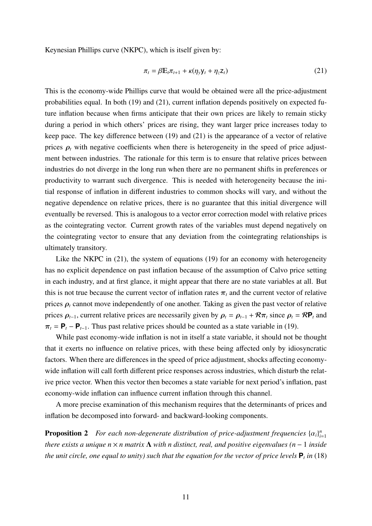Keynesian Phillips curve (NKPC), which is itself given by:

$$
\pi_t = \beta \mathbb{E}_t \pi_{t+1} + \kappa (\eta_y \mathbf{y}_t + \eta_z \mathbf{z}_t)
$$
\n(21)

This is the economy-wide Phillips curve that would be obtained were all the price-adjustment probabilities equal. In both (19) and (21), current inflation depends positively on expected future inflation because when firms anticipate that their own prices are likely to remain sticky during a period in which others' prices are rising, they want larger price increases today to keep pace. The key difference between (19) and (21) is the appearance of a vector of relative prices  $\rho_t$  with negative coefficients when there is heterogeneity in the speed of price adjustment between industries. The rationale for this term is to ensure that relative prices between industries do not diverge in the long run when there are no permanent shifts in preferences or productivity to warrant such divergence. This is needed with heterogeneity because the initial response of inflation in different industries to common shocks will vary, and without the negative dependence on relative prices, there is no guarantee that this initial divergence will eventually be reversed. This is analogous to a vector error correction model with relative prices as the cointegrating vector. Current growth rates of the variables must depend negatively on the cointegrating vector to ensure that any deviation from the cointegrating relationships is ultimately transitory.

Like the NKPC in (21), the system of equations (19) for an economy with heterogeneity has no explicit dependence on past inflation because of the assumption of Calvo price setting in each industry, and at first glance, it might appear that there are no state variables at all. But this is not true because the current vector of inflation rates  $\pi_t$  and the current vector of relative prices  $\rho_t$  cannot move independently of one another. Taking as given the past vector of relative prices  $\rho_{t-1}$ , current relative prices are necessarily given by  $\rho_t = \rho_{t-1} + \mathcal{R}\pi_t$  since  $\rho_t = \mathcal{R}\mathbf{P}_t$  and  $\pi_t = \mathbf{P}_t - \mathbf{P}_{t-1}$ . Thus past relative prices should be counted as a state variable in (19).

While past economy-wide inflation is not in itself a state variable, it should not be thought that it exerts no influence on relative prices, with these being affected only by idiosyncratic factors. When there are differences in the speed of price adjustment, shocks affecting economywide inflation will call forth different price responses across industries, which disturb the relative price vector. When this vector then becomes a state variable for next period's inflation, past economy-wide inflation can influence current inflation through this channel.

A more precise examination of this mechanism requires that the determinants of prices and inflation be decomposed into forward- and backward-looking components.

**Proposition 2** For each non-degenerate distribution of price-adjustment frequencies  $\{\alpha_i\}_{i=1}^n$ *i*=1 *there exists a unique n* × *n matrix* Λ *with n distinct, real, and positive eigenvalues (n* − 1 *inside the unit circle, one equal to unity) such that the equation for the vector of price levels*  $P_t$  *in* (18)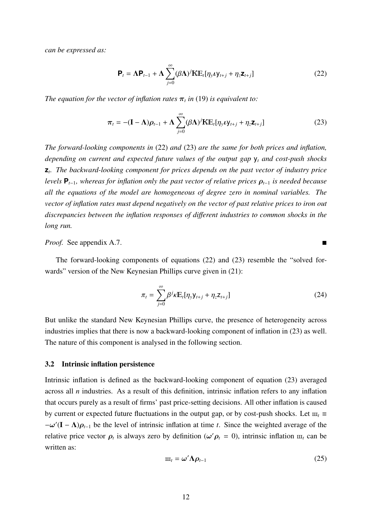*can be expressed as:*

$$
\mathbf{P}_{t} = \mathbf{\Lambda} \mathbf{P}_{t-1} + \mathbf{\Lambda} \sum_{j=0}^{\infty} (\beta \mathbf{\Lambda})^{j} \mathbf{K} \mathbb{E}_{t} [\eta_{y} \nu y_{t+j} + \eta_{z} \mathbf{Z}_{t+j}]
$$
(22)

*The equation for the vector of inflation rates*  $\pi$ <sup>*t*</sup> *in* (19) *is equivalent to:* 

$$
\boldsymbol{\pi}_{t} = -(\mathbf{I} - \boldsymbol{\Lambda})\boldsymbol{\rho}_{t-1} + \boldsymbol{\Lambda} \sum_{j=0}^{\infty} (\beta \boldsymbol{\Lambda})^{j} \mathbf{K} \mathbb{E}_{t} [\eta_{y} \boldsymbol{\iota} \mathbf{y}_{t+j} + \eta_{z} \mathbf{z}_{t+j}] \qquad (23)
$$

*The forward-looking components in* (22) *and* (23) *are the same for both prices and inflation, depending on current and expected future values of the output gap* y*<sup>t</sup> and cost-push shocks* **z***t. The backward-looking component for prices depends on the past vector of industry price levels*  $P_{t-1}$ *, whereas for inflation only the past vector of relative prices*  $\rho_{t-1}$  *is needed because all the equations of the model are homogeneous of degree zero in nominal variables. The vector of inflation rates must depend negatively on the vector of past relative prices to iron out discrepancies between the inflation responses of di*ff*erent industries to common shocks in the long run.*

*Proof.* See appendix A.7.

The forward-looking components of equations (22) and (23) resemble the "solved forwards" version of the New Keynesian Phillips curve given in (21):

$$
\pi_t = \sum_{j=0}^{\infty} \beta^j \kappa \mathbb{E}_t[\eta_y \mathsf{y}_{t+j} + \eta_z \mathsf{z}_{t+j}] \tag{24}
$$

But unlike the standard New Keynesian Phillips curve, the presence of heterogeneity across industries implies that there is now a backward-looking component of inflation in (23) as well. The nature of this component is analysed in the following section.

#### 3.2 Intrinsic inflation persistence

Intrinsic inflation is defined as the backward-looking component of equation (23) averaged across all *n* industries. As a result of this definition, intrinsic inflation refers to any inflation that occurs purely as a result of firms' past price-setting decisions. All other inflation is caused by current or expected future fluctuations in the output gap, or by cost-push shocks. Let  $\mathbf{m}_t$  ≡ −*ω* (I − Λ)*ρt*−<sup>1</sup> be the level of intrinsic inflation at time *t*. Since the weighted average of the relative price vector  $\rho_t$  is always zero by definition ( $\omega' \rho_t = 0$ ), intrinsic inflation  $\mathbf{m}_t$  can be written as:

$$
m_t = \omega' \Lambda \rho_{t-1} \tag{25}
$$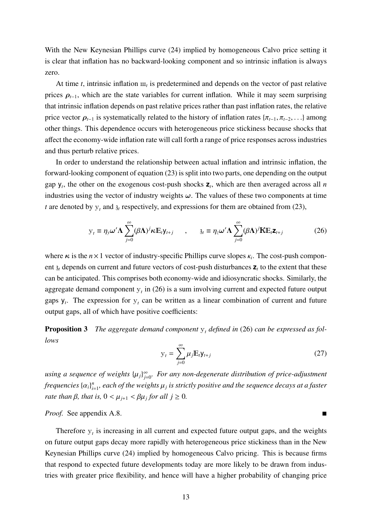With the New Keynesian Phillips curve (24) implied by homogeneous Calvo price setting it is clear that inflation has no backward-looking component and so intrinsic inflation is always zero.

At time *t*, intrinsic inflation  $\mathbf{m}_t$  is predetermined and depends on the vector of past relative prices  $\rho_{t-1}$ , which are the state variables for current inflation. While it may seem surprising that intrinsic inflation depends on past relative prices rather than past inflation rates, the relative price vector  $\rho_{t-1}$  is systematically related to the history of inflation rates { $\pi_{t-1}, \pi_{t-2}, \ldots$ } among other things. This dependence occurs with heterogeneous price stickiness because shocks that affect the economy-wide inflation rate will call forth a range of price responses across industries and thus perturb relative prices.

In order to understand the relationship between actual inflation and intrinsic inflation, the forward-looking component of equation (23) is split into two parts, one depending on the output gap  $y_t$ , the other on the exogenous cost-push shocks  $z_t$ , which are then averaged across all *n* industries using the vector of industry weights  $\omega$ . The values of these two components at time *t* are denoted by  $y_t$  and  $\alpha_t$  respectively, and expressions for them are obtained from (23),

$$
y_t \equiv \eta_y \omega' \Lambda \sum_{j=0}^{\infty} (\beta \Lambda)^j \kappa E_t y_{t+j} \qquad , \qquad y_t \equiv \eta_z \omega' \Lambda \sum_{j=0}^{\infty} (\beta \Lambda)^j K E_t z_{t+j} \qquad (26)
$$

where  $\kappa$  is the  $n \times 1$  vector of industry-specific Phillips curve slopes  $\kappa_i$ . The cost-push component  $\delta_t$  depends on current and future vectors of cost-push disturbances  $\mathbf{z}_t$  to the extent that these can be anticipated. This comprises both economy-wide and idiosyncratic shocks. Similarly, the aggregate demand component  $y_t$  in (26) is a sum involving current and expected future output gaps  $y_t$ . The expression for  $y_t$  can be written as a linear combination of current and future output gaps, all of which have positive coefficients:

**Proposition 3** The aggregate demand component  $y_t$  defined in (26) can be expressed as fol*lows*

$$
\mathbf{y}_t = \sum_{j=0}^{\infty} \mu_j \mathbf{E}_t \mathbf{y}_{t+j} \tag{27}
$$

*using a sequence of weights* {μ<sub>*j*</sub>}<sup>∞</sup><sub>*j*=0</sub>*. For any non-degenerate distribution of price-adjustment*  $f$ requencies  $\{\alpha_i\}_{i=1}^n$ , each of the weights  $\mu_j$  is strictly positive and the sequence decays at a faster *rate than*  $\beta$ *, that is,*  $0 < \mu_{j+1} < \beta \mu_j$  *for all*  $j \ge 0$ *.* 

*Proof.* See appendix A.8. ■

Therefore  $y_t$  is increasing in all current and expected future output gaps, and the weights on future output gaps decay more rapidly with heterogeneous price stickiness than in the New Keynesian Phillips curve (24) implied by homogeneous Calvo pricing. This is because firms that respond to expected future developments today are more likely to be drawn from industries with greater price flexibility, and hence will have a higher probability of changing price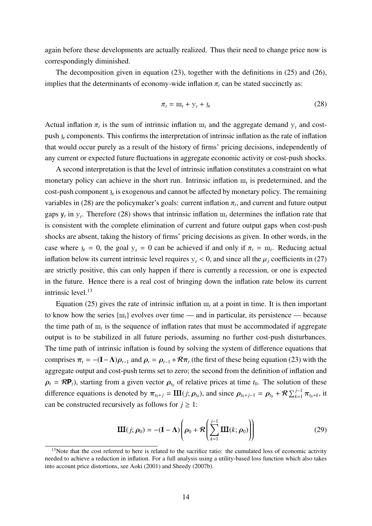again before these developments are actually realized. Thus their need to change price now is correspondingly diminished.

The decomposition given in equation (23), together with the definitions in (25) and (26), implies that the determinants of economy-wide inflation  $\pi_t$  can be stated succinctly as:

$$
\pi_t = \mathbf{m}_t + \mathbf{y}_t + \mathbf{a}_t \tag{28}
$$

Actual inflation  $\pi_t$  is the sum of intrinsic inflation  $\pi_t$  and the aggregate demand  $y_t$  and costpush z*<sup>t</sup>* components. This confirms the interpretation of intrinsic inflation as the rate of inflation that would occur purely as a result of the history of firms' pricing decisions, independently of any current or expected future fluctuations in aggregate economic activity or cost-push shocks.

A second interpretation is that the level of intrinsic inflation constitutes a constraint on what monetary policy can achieve in the short run. Intrinsic inflation  $\mathbf{m}_t$  is predetermined, and the cost-push component  $\mathfrak{z}_t$  is exogenous and cannot be affected by monetary policy. The remaining variables in (28) are the policymaker's goals: current inflation  $\pi_t$ , and current and future output gaps  $y_t$  in  $y_t$ . Therefore (28) shows that intrinsic inflation  $m_t$  determines the inflation rate that is consistent with the complete elimination of current and future output gaps when cost-push shocks are absent, taking the history of firms' pricing decisions as given. In other words, in the case where  $\chi_t = 0$ , the goal  $y_t = 0$  can be achieved if and only if  $\pi_t = \pi_t$ . Reducing actual inflation below its current intrinsic level requires  $y_t < 0$ , and since all the  $\mu_i$  coefficients in (27) are strictly positive, this can only happen if there is currently a recession, or one is expected in the future. Hence there is a real cost of bringing down the inflation rate below its current intrinsic level.<sup>13</sup>

Equation (25) gives the rate of intrinsic inflation  $\mathbf{u}_t$  at a point in time. It is then important to know how the series  $\{m_t\}$  evolves over time — and in particular, its persistence — because the time path of  $\mu$ , is the sequence of inflation rates that must be accommodated if aggregate output is to be stabilized in all future periods, assuming no further cost-push disturbances. The time path of intrinsic inflation is found by solving the system of difference equations that comprises  $\pi_t = -(\mathbf{I} - \mathbf{\Lambda})\rho_{t-1}$  and  $\rho_t = \rho_{t-1} + \mathcal{R}\pi_t$  (the first of these being equation (23) with the aggregate output and cost-push terms set to zero; the second from the definition of inflation and  $\rho_t = R P_t$ , starting from a given vector  $\rho_t$  of relative prices at time  $t_0$ . The solution of these difference equations is denoted by  $\pi_{t_0+j} = \mathbf{III}(j; \rho_{t_0})$ , and since  $\rho_{t_0+j-1} = \rho_{t_0} + \mathcal{R} \sum_{k=1}^{j-1} \pi_{t_0+k}$ , it can be constructed recursively as follows for  $j \geq 1$ :

$$
\mathbf{III}(j; \rho_0) = -(\mathbf{I} - \mathbf{\Lambda}) \left( \rho_0 + \mathcal{R} \left( \sum_{k=1}^{j-1} \mathbf{III}(k; \rho_0) \right) \right)
$$
(29)

<sup>&</sup>lt;sup>13</sup>Note that the cost referred to here is related to the sacrifice ratio: the cumulated loss of economic activity needed to achieve a reduction in inflation. For a full analysis using a utility-based loss function which also takes into account price distortions, see Aoki (2001) and Sheedy (2007b).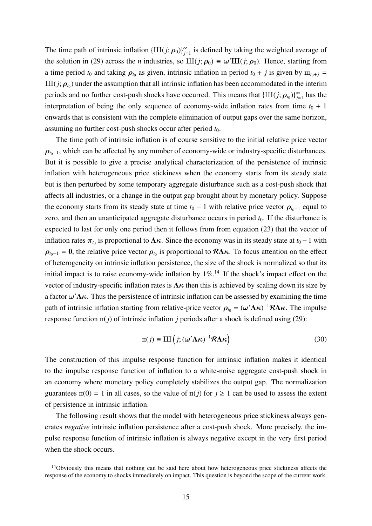The time path of intrinsic inflation  $\{III(j; \rho_0)\}_{j=1}^{\infty}$  is defined by taking the weighted average of the solution in (29) across the *n* industries, so  $III(j; \rho_0) \equiv \omega'III(j; \rho_0)$ . Hence, starting from a time period  $t_0$  and taking  $\rho_{t_0}$  as given, intrinsic inflation in period  $t_0 + j$  is given by  $m_{t_0+j} =$  $III(j; \rho_{t_0})$  under the assumption that all intrinsic inflation has been accommodated in the interim periods and no further cost-push shocks have occurred. This means that  $\{III(j; \rho_{t_0})\}_{j=1}^{\infty}$  has the interpretation of being the only sequence of economy-wide inflation rates from time  $t_0 + 1$ onwards that is consistent with the complete elimination of output gaps over the same horizon, assuming no further cost-push shocks occur after period  $t_0$ .

The time path of intrinsic inflation is of course sensitive to the initial relative price vector  $\rho$ <sub>*t*0−1</sub>, which can be affected by any number of economy-wide or industry-specific disturbances. But it is possible to give a precise analytical characterization of the persistence of intrinsic inflation with heterogeneous price stickiness when the economy starts from its steady state but is then perturbed by some temporary aggregate disturbance such as a cost-push shock that affects all industries, or a change in the output gap brought about by monetary policy. Suppose the economy starts from its steady state at time  $t_0$  – 1 with relative price vector  $\rho_{t_0-1}$  equal to zero, and then an unanticipated aggregate disturbance occurs in period  $t<sub>0</sub>$ . If the disturbance is expected to last for only one period then it follows from from equation (23) that the vector of inflation rates  $\pi_{t_0}$  is proportional to  $\Lambda \kappa$ . Since the economy was in its steady state at  $t_0 - 1$  with  $\rho_{t_0-1} = 0$ , the relative price vector  $\rho_{t_0}$  is proportional to  $R\Lambda\kappa$ . To focus attention on the effect of heterogeneity on intrinsic inflation persistence, the size of the shock is normalized so that its initial impact is to raise economy-wide inflation by  $1\%$ .<sup>14</sup> If the shock's impact effect on the vector of industry-specific inflation rates is  $\Lambda \kappa$  then this is achieved by scaling down its size by a factor *ω* Λ*κ*. Thus the persistence of intrinsic inflation can be assessed by examining the time path of intrinsic inflation starting from relative-price vector  $\rho_{t_0} = (\omega' \Lambda \kappa)^{-1} R \Lambda \kappa$ . The impulse response function  $\pi(j)$  of intrinsic inflation *j* periods after a shock is defined using (29):

$$
\Pi(j) \equiv \text{III}\left(j; (\omega' \Lambda \kappa)^{-1} \mathcal{R} \Lambda \kappa\right)
$$
\n(30)

The construction of this impulse response function for intrinsic inflation makes it identical to the impulse response function of inflation to a white-noise aggregate cost-push shock in an economy where monetary policy completely stabilizes the output gap. The normalization guarantees  $\pi(0) = 1$  in all cases, so the value of  $\pi(j)$  for  $j \ge 1$  can be used to assess the extent of persistence in intrinsic inflation.

The following result shows that the model with heterogeneous price stickiness always generates *negative* intrinsic inflation persistence after a cost-push shock. More precisely, the impulse response function of intrinsic inflation is always negative except in the very first period when the shock occurs.

<sup>&</sup>lt;sup>14</sup>Obviously this means that nothing can be said here about how heterogeneous price stickiness affects the response of the economy to shocks immediately on impact. This question is beyond the scope of the current work.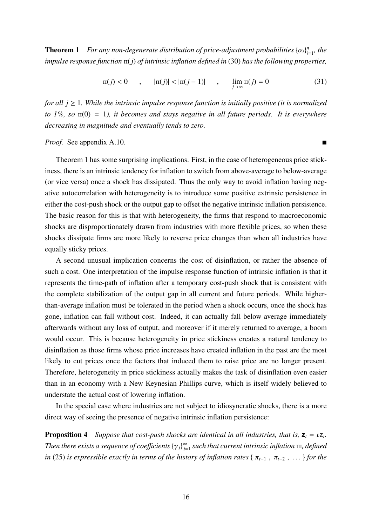**Theorem 1** For any non-degenerate distribution of price-adjustment probabilities  $\{\alpha_i\}_{i=1}^n$ , the *impulse response function*  $\pi(j)$  *of intrinsic inflation defined in* (30) *has the following properties,* 

$$
\pi(j) < 0 \qquad , \qquad |\pi(j)| < |\pi(j-1)| \qquad , \qquad \lim_{j \to \infty} \pi(j) = 0 \tag{31}
$$

*for all*  $j \geq 1$ *. While the intrinsic impulse response function is initially positive (it is normalized*  $to 1\%$ , so  $\pi(0) = 1$ ), it becomes and stays negative in all future periods. It is everywhere *decreasing in magnitude and eventually tends to zero.*

*Proof.* See appendix A.10.

Theorem 1 has some surprising implications. First, in the case of heterogeneous price stickiness, there is an intrinsic tendency for inflation to switch from above-average to below-average (or vice versa) once a shock has dissipated. Thus the only way to avoid inflation having negative autocorrelation with heterogeneity is to introduce some positive extrinsic persistence in either the cost-push shock or the output gap to offset the negative intrinsic inflation persistence. The basic reason for this is that with heterogeneity, the firms that respond to macroeconomic shocks are disproportionately drawn from industries with more flexible prices, so when these shocks dissipate firms are more likely to reverse price changes than when all industries have equally sticky prices.

A second unusual implication concerns the cost of disinflation, or rather the absence of such a cost. One interpretation of the impulse response function of intrinsic inflation is that it represents the time-path of inflation after a temporary cost-push shock that is consistent with the complete stabilization of the output gap in all current and future periods. While higherthan-average inflation must be tolerated in the period when a shock occurs, once the shock has gone, inflation can fall without cost. Indeed, it can actually fall below average immediately afterwards without any loss of output, and moreover if it merely returned to average, a boom would occur. This is because heterogeneity in price stickiness creates a natural tendency to disinflation as those firms whose price increases have created inflation in the past are the most likely to cut prices once the factors that induced them to raise price are no longer present. Therefore, heterogeneity in price stickiness actually makes the task of disinflation even easier than in an economy with a New Keynesian Phillips curve, which is itself widely believed to understate the actual cost of lowering inflation.

In the special case where industries are not subject to idiosyncratic shocks, there is a more direct way of seeing the presence of negative intrinsic inflation persistence:

**Proposition 4** *Suppose that cost-push shocks are identical in all industries, that is,*  $z_t = \iota z_t$ .  $T$ hen there exists a sequence of coefficients  $\{\gamma_j\}_{j=1}^\infty$  such that current intrinsic inflation  $\mathrm{m}_t$  defined *in* (25) *is expressible exactly in terms of the history of inflation rates* { $\pi_{t-1}$ ,  $\pi_{t-2}$ , ... } *for the*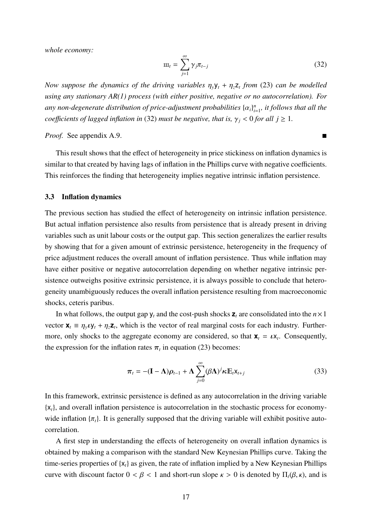*whole economy:*

$$
\mathbf{m}_t = \sum_{j=1}^{\infty} \gamma_j \pi_{t-j} \tag{32}
$$

*Now suppose the dynamics of the driving variables*  $\eta_y y_t + \eta_z z_t$  *from* (23) *can be modelled using any stationary AR(1) process (with either positive, negative or no autocorrelation). For* any non-degenerate distribution of price-adjustment probabilities  $\{\alpha_i\}_{i=1}^n$ , it follows that all the *coefficients of lagged inflation in* (32) *must be negative, that is,*  $\gamma_j < 0$  *for all*  $j \ge 1$ *.* 

*Proof.* See appendix A.9.

This result shows that the effect of heterogeneity in price stickiness on inflation dynamics is similar to that created by having lags of inflation in the Phillips curve with negative coefficients. This reinforces the finding that heterogeneity implies negative intrinsic inflation persistence.

#### 3.3 Inflation dynamics

The previous section has studied the effect of heterogeneity on intrinsic inflation persistence. But actual inflation persistence also results from persistence that is already present in driving variables such as unit labour costs or the output gap. This section generalizes the earlier results by showing that for a given amount of extrinsic persistence, heterogeneity in the frequency of price adjustment reduces the overall amount of inflation persistence. Thus while inflation may have either positive or negative autocorrelation depending on whether negative intrinsic persistence outweighs positive extrinsic persistence, it is always possible to conclude that heterogeneity unambiguously reduces the overall inflation persistence resulting from macroeconomic shocks, ceteris paribus.

In what follows, the output gap  $y_t$  and the cost-push shocks  $z_t$  are consolidated into the  $n \times 1$ vector  $\mathbf{x}_t = \eta_y \mathbf{v} + \eta_z \mathbf{z}_t$ , which is the vector of real marginal costs for each industry. Furthermore, only shocks to the aggregate economy are considered, so that  $\mathbf{x}_t = \iota \mathbf{x}_t$ . Consequently, the expression for the inflation rates  $\pi_t$  in equation (23) becomes:

$$
\boldsymbol{\pi}_{t} = -(\mathbf{I} - \boldsymbol{\Lambda})\boldsymbol{\rho}_{t-1} + \boldsymbol{\Lambda} \sum_{j=0}^{\infty} (\beta \boldsymbol{\Lambda})^{j} \boldsymbol{\kappa} \mathbb{E}_{t} \mathbf{x}_{t+j}
$$
(33)

In this framework, extrinsic persistence is defined as any autocorrelation in the driving variable {x*t*}, and overall inflation persistence is autocorrelation in the stochastic process for economywide inflation  $\{\pi_t\}$ . It is generally supposed that the driving variable will exhibit positive autocorrelation.

A first step in understanding the effects of heterogeneity on overall inflation dynamics is obtained by making a comparison with the standard New Keynesian Phillips curve. Taking the time-series properties of {x*t*} as given, the rate of inflation implied by a New Keynesian Phillips curve with discount factor  $0 < \beta < 1$  and short-run slope  $\kappa > 0$  is denoted by  $\Pi_t(\beta, \kappa)$ , and is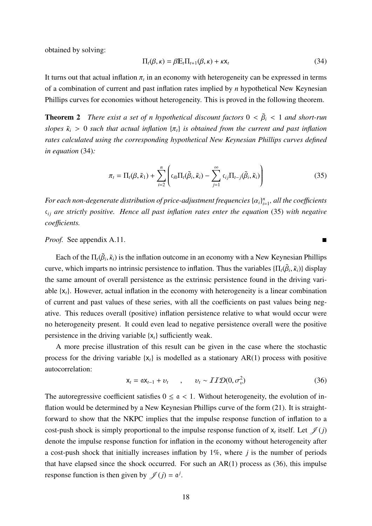obtained by solving:

$$
\Pi_t(\beta,\kappa) = \beta \mathbb{E}_t \Pi_{t+1}(\beta,\kappa) + \kappa \mathsf{x}_t \tag{34}
$$

It turns out that actual inflation  $\pi_t$  in an economy with heterogeneity can be expressed in terms of a combination of current and past inflation rates implied by *n* hypothetical New Keynesian Phillips curves for economies without heterogeneity. This is proved in the following theorem.

**Theorem 2** *There exist a set of n hypothetical discount factors*  $0 < \tilde{\beta}_i < 1$  *and short-run slopes*  $\tilde{\kappa}_i > 0$  *such that actual inflation*  $\{\pi_t\}$  *is obtained from the current and past inflation rates calculated using the corresponding hypothetical New Keynesian Phillips curves defined in equation* (34)*:*

$$
\pi_t = \Pi_t(\beta, \tilde{\kappa}_1) + \sum_{i=2}^n \left( c_{i0} \Pi_t(\tilde{\beta}_i, \tilde{\kappa}_i) - \sum_{j=1}^\infty c_{ij} \Pi_{t-j}(\tilde{\beta}_i, \tilde{\kappa}_i) \right)
$$
(35)

For each non-degenerate distribution of price-adjustment frequencies  $\{\alpha_i\}_{i=1}^n$ , all the coefficients  $c_{ij}$  *are strictly positive. Hence all past inflation rates enter the equation* (35) with negative *coe*ffi*cients.*

*Proof.* See appendix A.11.

Each of the  $\Pi_t(\tilde{\beta}_i, \tilde{\kappa}_i)$  is the inflation outcome in an economy with a New Keynesian Phillips curve, which imparts no intrinsic persistence to inflation. Thus the variables  $\{\Pi_t(\tilde{\beta}_i, \tilde{\kappa}_i)\}\$ display the same amount of overall persistence as the extrinsic persistence found in the driving variable {x*t*}. However, actual inflation in the economy with heterogeneity is a linear combination of current and past values of these series, with all the coefficients on past values being negative. This reduces overall (positive) inflation persistence relative to what would occur were no heterogeneity present. It could even lead to negative persistence overall were the positive persistence in the driving variable {x*t*} sufficiently weak.

A more precise illustration of this result can be given in the case where the stochastic process for the driving variable  $\{x_t\}$  is modelled as a stationary AR(1) process with positive autocorrelation:

$$
\mathbf{x}_t = \mathbf{a} \mathbf{x}_{t-1} + \mathbf{v}_t \qquad , \qquad \mathbf{v}_t \sim \mathcal{II} \mathcal{D}(\mathbf{0}, \sigma_v^2) \tag{36}
$$

The autoregressive coefficient satisfies  $0 \le \alpha < 1$ . Without heterogeneity, the evolution of inflation would be determined by a New Keynesian Phillips curve of the form (21). It is straightforward to show that the NKPC implies that the impulse response function of inflation to a cost-push shock is simply proportional to the impulse response function of  $x_t$  itself. Let  $\mathcal{J}(j)$ denote the impulse response function for inflation in the economy without heterogeneity after a cost-push shock that initially increases inflation by 1%, where *j* is the number of periods that have elapsed since the shock occurred. For such an  $AR(1)$  process as (36), this impulse response function is then given by  $\mathscr{J}(j) = \alpha^{j}$ .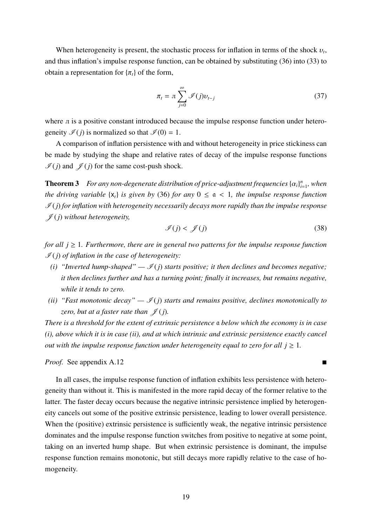When heterogeneity is present, the stochastic process for inflation in terms of the shock υ*t*, and thus inflation's impulse response function, can be obtained by substituting (36) into (33) to obtain a representation for  $\{\pi_t\}$  of the form,

$$
\pi_t = \pi \sum_{j=0}^{\infty} \mathcal{I}(j) v_{t-j}
$$
\n(37)

where  $\pi$  is a positive constant introduced because the impulse response function under heterogeneity  $\mathcal{I}(j)$  is normalized so that  $\mathcal{I}(0) = 1$ .

A comparison of inflation persistence with and without heterogeneity in price stickiness can be made by studying the shape and relative rates of decay of the impulse response functions  $\mathcal{I}(j)$  and  $\mathcal{J}(j)$  for the same cost-push shock.

**Theorem 3** For any non-degenerate distribution of price-adjustment frequencies  $\{\alpha_i\}_{i=1}^n$ , when *the driving variable*  $\{x_t\}$  *is given by* (36) *for any*  $0 \le a \le 1$ *, the impulse response function*  $\mathcal{I}(j)$  for inflation with heterogeneity necessarily decays more rapidly than the impulse response  $\mathscr{J}(j)$  without heterogeneity,

$$
\mathcal{I}(j) < \mathcal{J}(j) \tag{38}
$$

*for all*  $j \geq 1$ *. Furthermore, there are in general two patterns for the impulse response function* I (*j*) *of inflation in the case of heterogeneity:*

- *(i)* "Inverted hump-shaped"  $-\mathcal{I}(i)$  starts positive; it then declines and becomes negative; *it then declines further and has a turning point; finally it increases, but remains negative, while it tends to zero.*
- *(ii)* "Fast monotonic decay"  $-\mathcal{I}(j)$  starts and remains positive, declines monotonically to *zero, but at a faster rate than*  $\mathcal{J}(j)$ *.*

*There is a threshold for the extent of extrinsic persistence* a *below which the economy is in case (i), above which it is in case (ii), and at which intrinsic and extrinsic persistence exactly cancel out with the impulse response function under heterogeneity equal to zero for all*  $i > 1$ *.* 

*Proof.* See appendix A.12

In all cases, the impulse response function of inflation exhibits less persistence with heterogeneity than without it. This is manifested in the more rapid decay of the former relative to the latter. The faster decay occurs because the negative intrinsic persistence implied by heterogeneity cancels out some of the positive extrinsic persistence, leading to lower overall persistence. When the (positive) extrinsic persistence is sufficiently weak, the negative intrinsic persistence dominates and the impulse response function switches from positive to negative at some point, taking on an inverted hump shape. But when extrinsic persistence is dominant, the impulse response function remains monotonic, but still decays more rapidly relative to the case of homogeneity.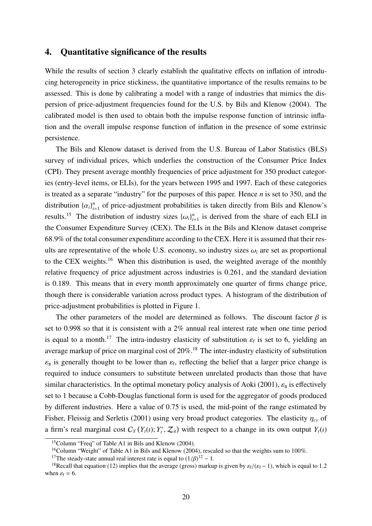## 4. Quantitative significance of the results

While the results of section 3 clearly establish the qualitative effects on inflation of introducing heterogeneity in price stickiness, the quantitative importance of the results remains to be assessed. This is done by calibrating a model with a range of industries that mimics the dispersion of price-adjustment frequencies found for the U.S. by Bils and Klenow (2004). The calibrated model is then used to obtain both the impulse response function of intrinsic inflation and the overall impulse response function of inflation in the presence of some extrinsic persistence.

The Bils and Klenow dataset is derived from the U.S. Bureau of Labor Statistics (BLS) survey of individual prices, which underlies the construction of the Consumer Price Index (CPI). They present average monthly frequencies of price adjustment for 350 product categories (entry-level items, or ELIs), for the years between 1995 and 1997. Each of these categories is treated as a separate "industry" for the purposes of this paper. Hence *n* is set to 350, and the distribution  $\{\alpha_i\}_{i=1}^n$  of price-adjustment probabilities is taken directly from Bils and Klenow's results.<sup>15</sup> The distribution of industry sizes  $\{\omega_i\}_{i=1}^n$  is derived from the share of each ELI in the Consumer Expenditure Survey (CEX). The ELIs in the Bils and Klenow dataset comprise 68.9% of the total consumer expenditure according to the CEX. Here it is assumed that their results are representative of the whole U.S. economy, so industry sizes  $\omega_i$  are set as proportional to the CEX weights.16 When this distribution is used, the weighted average of the monthly relative frequency of price adjustment across industries is 0.261, and the standard deviation is 0.189. This means that in every month approximately one quarter of firms change price, though there is considerable variation across product types. A histogram of the distribution of price-adjustment probabilities is plotted in Figure 1.

The other parameters of the model are determined as follows. The discount factor  $\beta$  is set to 0.998 so that it is consistent with a 2% annual real interest rate when one time period is equal to a month.<sup>17</sup> The intra-industry elasticity of substitution  $\varepsilon_f$  is set to 6, yielding an average markup of price on marginal cost of 20%.<sup>18</sup> The inter-industry elasticity of substitution  $\varepsilon_s$  is generally thought to be lower than  $\varepsilon_t$ , reflecting the belief that a larger price change is required to induce consumers to substitute between unrelated products than those that have similar characteristics. In the optimal monetary policy analysis of Aoki (2001),  $\varepsilon_s$  is effectively set to 1 because a Cobb-Douglas functional form is used for the aggregator of goods produced by different industries. Here a value of 0.75 is used, the mid-point of the range estimated by Fisher, Fleissig and Serletis (2001) using very broad product categories. The elasticity η*cy* of a firm's real marginal cost  $C_Y(Y_t(t); Y_t^*, Z_t)$  with respect to a change in its own output  $Y_t(t)$ 

<sup>15</sup>Column "Freq" of Table A1 in Bils and Klenow (2004).

<sup>&</sup>lt;sup>16</sup>Column "Weight" of Table A1 in Bils and Klenow (2004), rescaled so that the weights sum to 100%.

<sup>&</sup>lt;sup>17</sup>The steady-state annual real interest rate is equal to  $(1/\beta)^{12} - 1$ .

<sup>&</sup>lt;sup>18</sup>Recall that equation (12) implies that the average (gross) markup is given by  $\varepsilon_f/(\varepsilon_f - 1)$ , which is equal to 1.2 when  $\varepsilon_f = 6$ .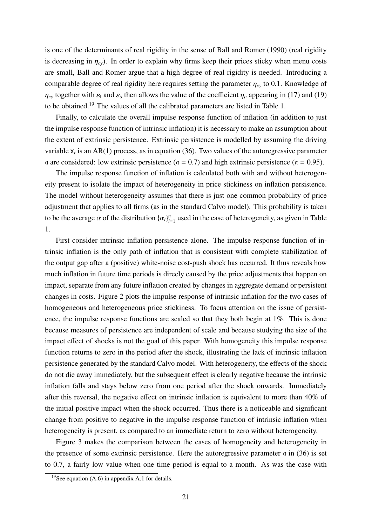is one of the determinants of real rigidity in the sense of Ball and Romer (1990) (real rigidity is decreasing in  $\eta_{cv}$ ). In order to explain why firms keep their prices sticky when menu costs are small, Ball and Romer argue that a high degree of real rigidity is needed. Introducing a comparable degree of real rigidity here requires setting the parameter  $\eta_{cy}$  to 0.1. Knowledge of  $\eta_{cy}$  together with  $\varepsilon_f$  and  $\varepsilon_s$  then allows the value of the coefficient  $\eta_{\rho}$  appearing in (17) and (19) to be obtained.19 The values of all the calibrated parameters are listed in Table 1.

Finally, to calculate the overall impulse response function of inflation (in addition to just the impulse response function of intrinsic inflation) it is necessary to make an assumption about the extent of extrinsic persistence. Extrinsic persistence is modelled by assuming the driving variable  $x_t$  is an AR(1) process, as in equation (36). Two values of the autoregressive parameter a are considered: low extrinsic persistence ( $\alpha = 0.7$ ) and high extrinsic persistence ( $\alpha = 0.95$ ).

The impulse response function of inflation is calculated both with and without heterogeneity present to isolate the impact of heterogeneity in price stickiness on inflation persistence. The model without heterogeneity assumes that there is just one common probability of price adjustment that applies to all firms (as in the standard Calvo model). This probability is taken to be the average  $\bar{\alpha}$  of the distribution  $\{\alpha_i\}_{i=1}^n$  used in the case of heterogeneity, as given in Table 1.

First consider intrinsic inflation persistence alone. The impulse response function of intrinsic inflation is the only path of inflation that is consistent with complete stabilization of the output gap after a (positive) white-noise cost-push shock has occurred. It thus reveals how much inflation in future time periods is direcly caused by the price adjustments that happen on impact, separate from any future inflation created by changes in aggregate demand or persistent changes in costs. Figure 2 plots the impulse response of intrinsic inflation for the two cases of homogeneous and heterogeneous price stickiness. To focus attention on the issue of persistence, the impulse response functions are scaled so that they both begin at 1%. This is done because measures of persistence are independent of scale and because studying the size of the impact effect of shocks is not the goal of this paper. With homogeneity this impulse response function returns to zero in the period after the shock, illustrating the lack of intrinsic inflation persistence generated by the standard Calvo model. With heterogeneity, the effects of the shock do not die away immediately, but the subsequent effect is clearly negative because the intrinsic inflation falls and stays below zero from one period after the shock onwards. Immediately after this reversal, the negative effect on intrinsic inflation is equivalent to more than 40% of the initial positive impact when the shock occurred. Thus there is a noticeable and significant change from positive to negative in the impulse response function of intrinsic inflation when heterogeneity is present, as compared to an immediate return to zero without heterogeneity.

Figure 3 makes the comparison between the cases of homogeneity and heterogeneity in the presence of some extrinsic persistence. Here the autoregressive parameter a in (36) is set to 0.7, a fairly low value when one time period is equal to a month. As was the case with

<sup>&</sup>lt;sup>19</sup>See equation  $(A.6)$  in appendix A.1 for details.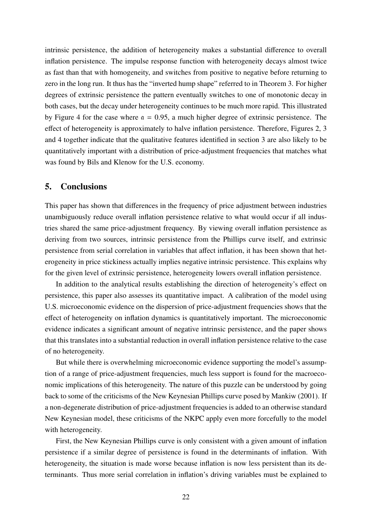intrinsic persistence, the addition of heterogeneity makes a substantial difference to overall inflation persistence. The impulse response function with heterogeneity decays almost twice as fast than that with homogeneity, and switches from positive to negative before returning to zero in the long run. It thus has the "inverted hump shape" referred to in Theorem 3. For higher degrees of extrinsic persistence the pattern eventually switches to one of monotonic decay in both cases, but the decay under heterogeneity continues to be much more rapid. This illustrated by Figure 4 for the case where  $\alpha = 0.95$ , a much higher degree of extrinsic persistence. The effect of heterogeneity is approximately to halve inflation persistence. Therefore, Figures 2, 3 and 4 together indicate that the qualitative features identified in section 3 are also likely to be quantitatively important with a distribution of price-adjustment frequencies that matches what was found by Bils and Klenow for the U.S. economy.

# 5. Conclusions

This paper has shown that differences in the frequency of price adjustment between industries unambiguously reduce overall inflation persistence relative to what would occur if all industries shared the same price-adjustment frequency. By viewing overall inflation persistence as deriving from two sources, intrinsic persistence from the Phillips curve itself, and extrinsic persistence from serial correlation in variables that affect inflation, it has been shown that heterogeneity in price stickiness actually implies negative intrinsic persistence. This explains why for the given level of extrinsic persistence, heterogeneity lowers overall inflation persistence.

In addition to the analytical results establishing the direction of heterogeneity's effect on persistence, this paper also assesses its quantitative impact. A calibration of the model using U.S. microeconomic evidence on the dispersion of price-adjustment frequencies shows that the effect of heterogeneity on inflation dynamics is quantitatively important. The microeconomic evidence indicates a significant amount of negative intrinsic persistence, and the paper shows that this translates into a substantial reduction in overall inflation persistence relative to the case of no heterogeneity.

But while there is overwhelming microeconomic evidence supporting the model's assumption of a range of price-adjustment frequencies, much less support is found for the macroeconomic implications of this heterogeneity. The nature of this puzzle can be understood by going back to some of the criticisms of the New Keynesian Phillips curve posed by Mankiw (2001). If a non-degenerate distribution of price-adjustment frequencies is added to an otherwise standard New Keynesian model, these criticisms of the NKPC apply even more forcefully to the model with heterogeneity.

First, the New Keynesian Phillips curve is only consistent with a given amount of inflation persistence if a similar degree of persistence is found in the determinants of inflation. With heterogeneity, the situation is made worse because inflation is now less persistent than its determinants. Thus more serial correlation in inflation's driving variables must be explained to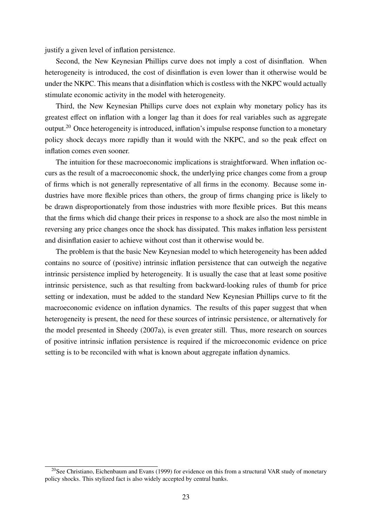justify a given level of inflation persistence.

Second, the New Keynesian Phillips curve does not imply a cost of disinflation. When heterogeneity is introduced, the cost of disinflation is even lower than it otherwise would be under the NKPC. This means that a disinflation which is costless with the NKPC would actually stimulate economic activity in the model with heterogeneity.

Third, the New Keynesian Phillips curve does not explain why monetary policy has its greatest effect on inflation with a longer lag than it does for real variables such as aggregate output.<sup>20</sup> Once heterogeneity is introduced, inflation's impulse response function to a monetary policy shock decays more rapidly than it would with the NKPC, and so the peak effect on inflation comes even sooner.

The intuition for these macroeconomic implications is straightforward. When inflation occurs as the result of a macroeconomic shock, the underlying price changes come from a group of firms which is not generally representative of all firms in the economy. Because some industries have more flexible prices than others, the group of firms changing price is likely to be drawn disproportionately from those industries with more flexible prices. But this means that the firms which did change their prices in response to a shock are also the most nimble in reversing any price changes once the shock has dissipated. This makes inflation less persistent and disinflation easier to achieve without cost than it otherwise would be.

The problem is that the basic New Keynesian model to which heterogeneity has been added contains no source of (positive) intrinsic inflation persistence that can outweigh the negative intrinsic persistence implied by heterogeneity. It is usually the case that at least some positive intrinsic persistence, such as that resulting from backward-looking rules of thumb for price setting or indexation, must be added to the standard New Keynesian Phillips curve to fit the macroeconomic evidence on inflation dynamics. The results of this paper suggest that when heterogeneity is present, the need for these sources of intrinsic persistence, or alternatively for the model presented in Sheedy (2007a), is even greater still. Thus, more research on sources of positive intrinsic inflation persistence is required if the microeconomic evidence on price setting is to be reconciled with what is known about aggregate inflation dynamics.

<sup>&</sup>lt;sup>20</sup>See Christiano, Eichenbaum and Evans (1999) for evidence on this from a structural VAR study of monetary policy shocks. This stylized fact is also widely accepted by central banks.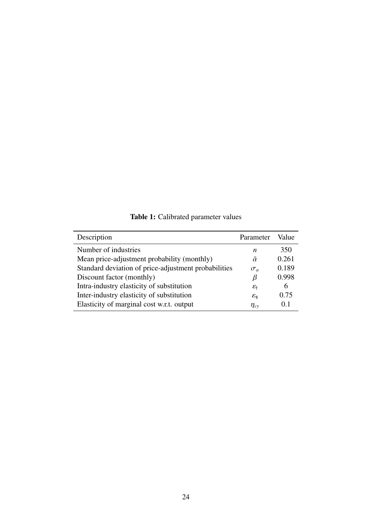| Description                                          | Parameter                | Value |
|------------------------------------------------------|--------------------------|-------|
| Number of industries                                 | n                        | 350   |
| Mean price-adjustment probability (monthly)          | $\bar{\alpha}$           | 0.261 |
| Standard deviation of price-adjustment probabilities | $\sigma_{\alpha}$        | 0.189 |
| Discount factor (monthly)                            | β                        | 0.998 |
| Intra-industry elasticity of substitution            | $\varepsilon_{\text{f}}$ | 6     |
| Inter-industry elasticity of substitution            | $\varepsilon_{\rm s}$    | 0.75  |
| Elasticity of marginal cost w.r.t. output            | $\eta_{cv}$              | 0.1   |

Table 1: Calibrated parameter values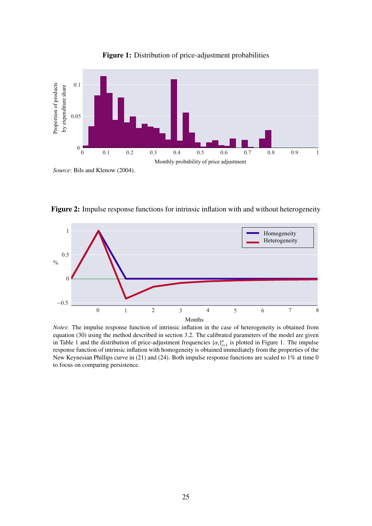

Figure 1: Distribution of price-adjustment probabilities

Figure 2: Impulse response functions for intrinsic inflation with and without heterogeneity



*Notes*: The impulse response function of intrinsic inflation in the case of heterogeneity is obtained from equation (30) using the method described in section 3.2. The calibrated parameters of the model are given in Table 1 and the distribution of price-adjustment frequencies  $\{\alpha_i\}_{i=1}^n$  is plotted in Figure 1. The impulse response function of intrinsic inflation with homogeneity is obtained immediately from the properties of the New Keynesian Phillips curve in (21) and (24). Both impulse response functions are scaled to 1% at time 0 to focus on comparing persistence.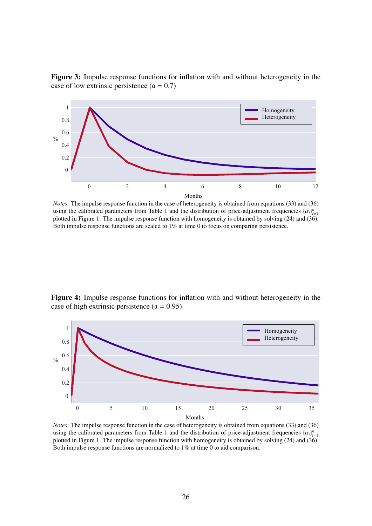Figure 3: Impulse response functions for inflation with and without heterogeneity in the case of low extrinsic persistence  $(a = 0.7)$ 



*Notes*: The impulse response function in the case of heterogeneity is obtained from equations (33) and (36) using the calibrated parameters from Table 1 and the distribution of price-adjustment frequencies  $\{\alpha_i\}_{i=1}^n$ plotted in Figure 1. The impulse response function with homogeneity is obtained by solving (24) and (36). Both impulse response functions are scaled to 1% at time 0 to focus on comparing persistence.

Figure 4: Impulse response functions for inflation with and without heterogeneity in the case of high extrinsic persistence ( $\alpha = 0.95$ )



*Notes*: The impulse response function in the case of heterogeneity is obtained from equations (33) and (36) using the calibrated parameters from Table 1 and the distribution of price-adjustment frequencies  $\{\alpha_i\}_{i=1}^n$ plotted in Figure 1. The impulse response function with homogeneity is obtained by solving (24) and (36). Both impulse response functions are normalized to 1% at time 0 to aid comparison.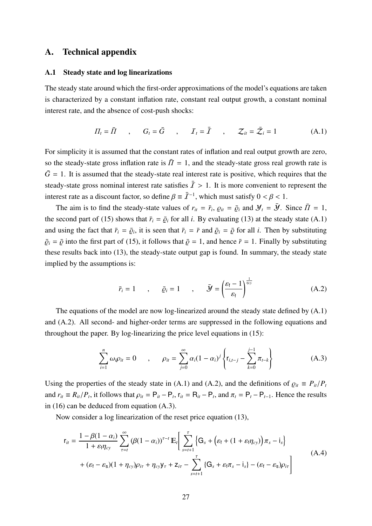# A. Technical appendix

## A.1 Steady state and log linearizations

The steady state around which the first-order approximations of the model's equations are taken is characterized by a constant inflation rate, constant real output growth, a constant nominal interest rate, and the absence of cost-push shocks:

$$
\Pi_t = \overline{I} \qquad , \qquad G_t = \overline{G} \qquad , \qquad \mathcal{I}_t = \overline{I} \qquad , \qquad \mathcal{Z}_{it} = \overline{\mathcal{Z}}_i = 1 \tag{A.1}
$$

For simplicity it is assumed that the constant rates of inflation and real output growth are zero, so the steady-state gross inflation rate is  $\bar{\Pi} = 1$ , and the steady-state gross real growth rate is  $\overline{G}$  = 1. It is assumed that the steady-state real interest rate is positive, which requires that the steady-state gross nominal interest rate satisfies  $\bar{I} > 1$ . It is more convenient to represent the interest rate as a discount factor, so define  $\beta = \bar{I}^{-1}$ , which must satisfy  $0 < \beta < 1$ .

The aim is to find the steady-state values of  $r_{it} = \bar{r}_i$ ,  $\rho_{it} = \bar{\rho}_i$  and  $\mathcal{Y}_t = \bar{\mathcal{Y}}$ . Since  $\bar{\Pi} = 1$ , the second part of (15) shows that  $\bar{r}_i = \bar{\varrho}_i$  for all *i*. By evaluating (13) at the steady state (A.1) and using the fact that  $\bar{r}_i = \bar{\rho}_i$ , it is seen that  $\bar{r}_i = \bar{r}$  and  $\bar{\rho}_i = \bar{\rho}$  for all *i*. Then by substituting  $\overline{\varrho}_i = \overline{\varrho}$  into the first part of (15), it follows that  $\overline{\varrho} = 1$ , and hence  $\overline{r} = 1$ . Finally by substituting these results back into (13), the steady-state output gap is found. In summary, the steady state implied by the assumptions is:

$$
\bar{r}_i = 1 \qquad , \qquad \bar{\varrho}_i = 1 \qquad , \qquad \bar{\mathbf{y}} = \left(\frac{\varepsilon_f - 1}{\varepsilon_f}\right)^{\frac{1}{\eta_{cy}}} \tag{A.2}
$$

The equations of the model are now log-linearized around the steady state defined by (A.1) and (A.2). All second- and higher-order terms are suppressed in the following equations and throughout the paper. By log-linearizing the price level equations in (15):

$$
\sum_{i=1}^{n} \omega_i \rho_{it} = 0 \qquad , \qquad \rho_{it} = \sum_{j=0}^{\infty} \alpha_i (1 - \alpha_i)^j \left\{ r_{i,t-j} - \sum_{k=0}^{j-1} \pi_{t-k} \right\} \qquad (A.3)
$$

Using the properties of the steady state in (A.1) and (A.2), and the definitions of  $\rho_{it} \equiv P_{it}/P_t$ and  $r_{it} \equiv R_{it}/P_t$ , it follows that  $\rho_{it} = P_{it} - P_t$ ,  $r_{it} = R_{it} - P_t$ , and  $\pi_t = P_t - P_{t-1}$ . Hence the results in (16) can be deduced from equation (A.3).

Now consider a log linearization of the reset price equation (13),

$$
r_{it} = \frac{1 - \beta(1 - \alpha_i)}{1 + \varepsilon_f \eta_{cy}} \sum_{\tau = t}^{\infty} (\beta(1 - \alpha_i))^{\tau - t} \mathbb{E}_t \Big[ \sum_{s = t + 1}^{\tau} \Big\{ G_s + \Big(\varepsilon_f + (1 + \varepsilon_f \eta_{cy})\Big) \pi_s - i_s \Big\} + (\varepsilon_f - \varepsilon_s)(1 + \eta_{cy})\rho_{i\tau} + \eta_{cy}\gamma_{\tau} + \mathbf{Z}_{i\tau} - \sum_{s = t + 1}^{\tau} \Big\{ G_s + \varepsilon_f \pi_s - i_s \Big\} - (\varepsilon_f - \varepsilon_s)\rho_{i\tau} \Big]
$$
(A.4)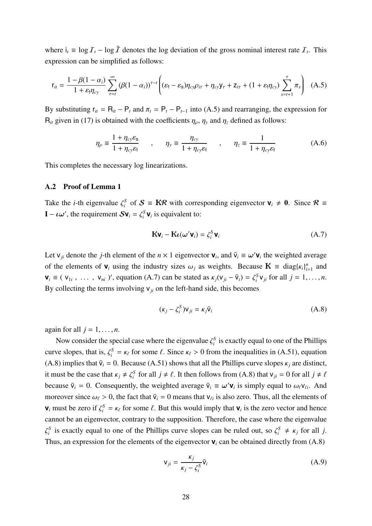where  $i_t \equiv \log \mathcal{I}_t - \log \bar{\mathcal{I}}$  denotes the log deviation of the gross nominal interest rate  $\mathcal{I}_t$ . This expression can be simplified as follows:

$$
\mathbf{r}_{it} = \frac{1 - \beta(1 - \alpha_i)}{1 + \varepsilon_i \eta_{cy}} \sum_{\tau=t}^{\infty} (\beta(1 - \alpha_i))^{\tau - t} \left( (\varepsilon_f - \varepsilon_s) \eta_{cy} \rho_{i\tau} + \eta_{cy} \mathbf{y}_{\tau} + \mathbf{z}_{i\tau} + (1 + \varepsilon_f \eta_{cy}) \sum_{s=t+1}^{\tau} \pi_s \right) (A.5)
$$

By substituting  $r_{it} = R_{it} - P_t$  and  $\pi_t = P_t - P_{t-1}$  into (A.5) and rearranging, the expression for  $R_{it}$  given in (17) is obtained with the coefficients  $\eta_{\rho}$ ,  $\eta_{y}$  and  $\eta_{z}$  defined as follows:

$$
\eta_{\rho} \equiv \frac{1 + \eta_{cy}\varepsilon_{s}}{1 + \eta_{cy}\varepsilon_{f}} \qquad , \qquad \eta_{y} \equiv \frac{\eta_{cy}}{1 + \eta_{cy}\varepsilon_{f}} \qquad , \qquad \eta_{z} \equiv \frac{1}{1 + \eta_{cy}\varepsilon_{f}} \qquad (A.6)
$$

This completes the necessary log linearizations.

#### A.2 Proof of Lemma 1

Take the *i*-th eigenvalue  $\zeta_i^S$  of  $S \equiv \textbf{K} \mathcal{R}$  with corresponding eigenvector  $\mathbf{v}_i \neq \mathbf{0}$ . Since  $\mathcal{R} \equiv$  $\mathbf{I} - \iota \omega'$ , the requirement  $S \mathbf{v}_i = \zeta_i^S \mathbf{v}_i$  is equivalent to:

$$
\mathbf{K}\mathbf{v}_i - \mathbf{K}\boldsymbol{\iota}(\boldsymbol{\omega}'\mathbf{v}_i) = \zeta_i^S \mathbf{v}_i
$$
 (A.7)

Let  $v_{ji}$  denote the *j*-th element of the  $n \times 1$  eigenvector  $v_i$ , and  $\bar{v}_i \equiv \omega' v_i$  the weighted average of the elements of  $\mathbf{v}_i$  using the industry sizes  $\omega_j$  as weights. Because  $\mathbf{K} \equiv \text{diag}\{k_i\}_{i=1}^n$  and  $\mathbf{v}_i \equiv (\mathbf{v}_{1i}, \ldots, \mathbf{v}_{ni})'$ , equation (A.7) can be stated as  $\kappa_j(\mathbf{v}_{ji} - \bar{\mathbf{v}}_i) = \zeta_i^S \mathbf{v}_{ji}$  for all  $j = 1, \ldots, n$ . By collecting the terms involving  $v_{ji}$  on the left-hand side, this becomes

$$
(\kappa_j - \zeta_i^S) v_{ji} = \kappa_j \bar{v}_i
$$
 (A.8)

again for all  $j = 1, \ldots, n$ .

Now consider the special case where the eigenvalue  $\zeta_i^S$  is exactly equal to one of the Phillips curve slopes, that is,  $\zeta_i^S = \kappa_\ell$  for some  $\ell$ . Since  $\kappa_\ell > 0$  from the inequalities in (A.51), equation (A.8) implies that  $\bar{v}_i = 0$ . Because (A.51) shows that all the Phillips curve slopes  $\kappa_i$  are distinct, it must be the case that  $\kappa_j \neq \zeta_i^S$  for all  $j \neq \ell$ . It then follows from (A.8) that  $v_{ji} = 0$  for all  $j \neq \ell$ because  $\bar{v}_i = 0$ . Consequently, the weighted average  $\bar{v}_i \equiv \omega' \mathbf{v}_i$  is simply equal to  $\omega_\ell v_{\ell i}$ . And moreover since  $\omega_{\ell} > 0$ , the fact that  $\bar{v}_i = 0$  means that  $v_{\ell i}$  is also zero. Thus, all the elements of **v**<sub>*i*</sub> must be zero if  $\zeta_i^S = \kappa_\ell$  for some  $\ell$ . But this would imply that **v**<sub>*i*</sub> is the zero vector and hence cannot be an eigenvector, contrary to the supposition. Therefore, the case where the eigenvalue  $\zeta_i^S$  is exactly equal to one of the Phillips curve slopes can be ruled out, so  $\zeta_i^S \neq \kappa_j$  for all *j*. Thus, an expression for the elements of the eigenvector  $\mathbf{v}_i$  can be obtained directly from (A.8)

$$
\mathbf{v}_{ji} = \frac{\kappa_j}{\kappa_j - \zeta_i^S} \bar{\mathbf{v}}_i \tag{A.9}
$$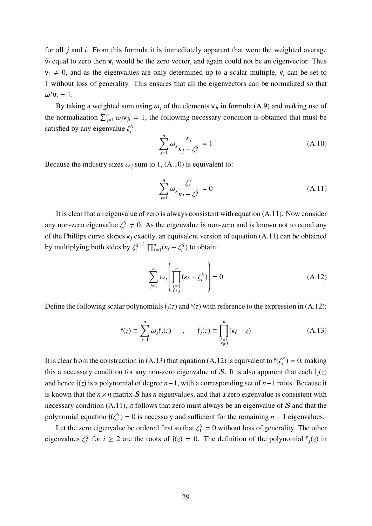for all *j* and *i*. From this formula it is immediately apparent that were the weighted average  $\bar{v}_i$  equal to zero then  $v_i$  would be the zero vector, and again could not be an eigenvector. Thus  $\bar{v}_i \neq 0$ , and as the eigenvalues are only determined up to a scalar multiple,  $\bar{v}_i$  can be set to 1 without loss of generality. This ensures that all the eigenvectors can be normalized so that  $\boldsymbol{\omega}' \mathbf{v}_i = 1.$ 

By taking a weighted sum using  $\omega_i$  of the elements  $v_{ji}$  in formula (A.9) and making use of the normalization  $\sum_{j=1}^{n} \omega_j v_{ji} = 1$ , the following necessary condition is obtained that must be satisfied by any eigenvalue  $\zeta_i^S$ :

$$
\sum_{j=1}^{n} \omega_j \frac{\kappa_j}{\kappa_j - \zeta_i^S} = 1
$$
\n(A.10)

Because the industry sizes  $\omega_j$  sum to 1, (A.10) is equivalent to:

$$
\sum_{j=1}^{n} \omega_j \frac{\zeta_i^S}{\kappa_j - \zeta_i^S} = 0
$$
\n(A.11)

It is clear that an eigenvalue of zero is always consistent with equation (A.11). Now consider any non-zero eigenvalue  $\zeta_i^S \neq 0$ . As the eigenvalue is non-zero and is known not to equal any of the Phillips curve slopes  $\kappa_i$  exactly, an equivalent version of equation (A.11) can be obtained by multiplying both sides by  $\zeta_i^{S^{-1}} \prod_{\ell=1}^n (\kappa_\ell - \zeta_i^S)$  to obtain:

$$
\sum_{j=1}^{n} \omega_j \left( \prod_{\substack{\ell=1 \\ \ell \neq j}}^{n} (\kappa_\ell - \zeta_i^S) \right) = 0 \tag{A.12}
$$

Define the following scalar polynomials  $f_i(z)$  and  $f(z)$  with reference to the expression in (A.12):

$$
\mathfrak{f}(z) \equiv \sum_{j=1}^{n} \omega_j \mathfrak{f}_j(z) \qquad , \qquad \mathfrak{f}_j(z) \equiv \prod_{\substack{\ell=1 \\ \ell \neq j}}^{n} (\kappa_\ell - z) \tag{A.13}
$$

It is clear from the construction in (A.13) that equation (A.12) is equivalent to  $f(\zeta_i^S) = 0$ , making this a necessary condition for any non-zero eigenvalue of S. It is also apparent that each  $f_i(z)$ and hence f(*z*) is a polynomial of degree *n*−1, with a corresponding set of *n*−1 roots. Because it is known that the  $n \times n$  matrix S has *n* eigenvalues, and that a zero eigenvalue is consistent with necessary condition  $(A.11)$ , it follows that zero must always be an eigenvalue of  $S$  and that the polynomial equation  $\mathfrak{f}(\zeta_i^S) = 0$  is necessary and sufficient for the remaining *n* − 1 eigenvalues.

Let the zero eigenvalue be ordered first so that  $\zeta_1^S = 0$  without loss of generality. The other eigenvalues  $\zeta_i^S$  for  $i \ge 2$  are the roots of  $\tilde{\tau}(z) = 0$ . The definition of the polynomial  $\tilde{\tau}_j(z)$  in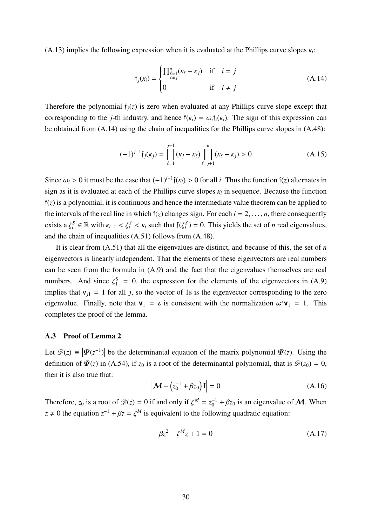(A.13) implies the following expression when it is evaluated at the Phillips curve slopes κ*i*:

$$
\mathfrak{f}_j(\kappa_i) = \begin{cases} \prod_{\substack{\ell=1 \\ \ell \neq j}}^n (\kappa_\ell - \kappa_j) & \text{if } i = j \\ 0 & \text{if } i \neq j \end{cases} \tag{A.14}
$$

Therefore the polynomial  $f_i(z)$  is zero when evaluated at any Phillips curve slope except that corresponding to the *j*-th industry, and hence  $f(\kappa_i) = \omega_i f_i(\kappa_i)$ . The sign of this expression can be obtained from (A.14) using the chain of inequalities for the Phillips curve slopes in (A.48):

$$
(-1)^{j-1} \mathfrak{f}_j(\kappa_j) = \prod_{\ell=1}^{j-1} (\kappa_j - \kappa_\ell) \prod_{\ell=j+1}^n (\kappa_\ell - \kappa_j) > 0
$$
 (A.15)

Since  $\omega_i > 0$  it must be the case that  $(-1)^{i-1}$  $f(\kappa_i) > 0$  for all *i*. Thus the function  $f(z)$  alternates in sign as it is evaluated at each of the Phillips curve slopes  $\kappa_i$  in sequence. Because the function  $f(z)$  is a polynomial, it is continuous and hence the intermediate value theorem can be applied to the intervals of the real line in which  $f(z)$  changes sign. For each  $i = 2, \ldots, n$ , there consequently exists a  $\zeta_i^S \in \mathbb{R}$  with  $\kappa_{i-1} < \zeta_i^S < \kappa_i$  such that  $\zeta_i^S = 0$ . This yields the set of *n* real eigenvalues, and the chain of inequalities (A.51) follows from (A.48).

It is clear from (A.51) that all the eigenvalues are distinct, and because of this, the set of *n* eigenvectors is linearly independent. That the elements of these eigenvectors are real numbers can be seen from the formula in (A.9) and the fact that the eigenvalues themselves are real numbers. And since  $\zeta_1^S = 0$ , the expression for the elements of the eigenvectors in (A.9) implies that  $v_{i1} = 1$  for all *j*, so the vector of 1s is the eigenvector corresponding to the zero eigenvalue. Finally, note that  $\mathbf{v}_1 = \boldsymbol{\iota}$  is consistent with the normalization  $\boldsymbol{\omega}'\mathbf{v}_1 = 1$ . This completes the proof of the lemma.

## A.3 Proof of Lemma 2

Let  $\mathscr{D}(z) = |\Psi(z^{-1})|$  be the determinantal equation of the matrix polynomial  $\Psi(z)$ . Using the definition of  $\Psi(z)$  in (A.54), if  $z_0$  is a root of the determinantal polynomial, that is  $\mathscr{D}(z_0) = 0$ , then it is also true that:

$$
\left|\mathbf{M} - \left(z_0^{-1} + \beta z_0\right)\mathbf{I}\right| = 0\tag{A.16}
$$

Therefore,  $z_0$  is a root of  $\mathscr{D}(z) = 0$  if and only if  $\zeta^M = z_0^{-1} + \beta z_0$  is an eigenvalue of M. When  $z \neq 0$  the equation  $z^{-1} + \beta z = \zeta^M$  is equivalent to the following quadratic equation:

$$
\beta z^2 - \zeta^M z + 1 = 0 \tag{A.17}
$$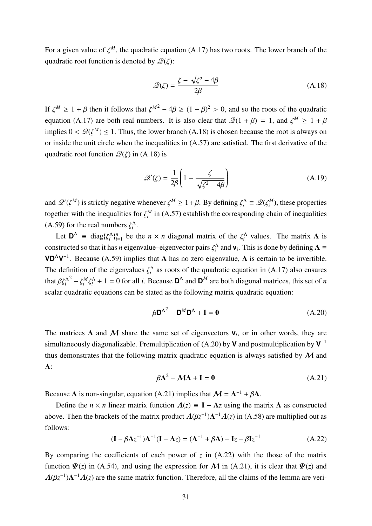For a given value of  $\zeta^M$ , the quadratic equation (A.17) has two roots. The lower branch of the quadratic root function is denoted by  $\mathcal{Q}(\zeta)$ :

$$
\mathcal{Q}(\zeta) = \frac{\zeta - \sqrt{\zeta^2 - 4\beta}}{2\beta} \tag{A.18}
$$

If  $\zeta^M \geq 1 + \beta$  then it follows that  $\zeta^{M^2} - 4\beta \geq (1 - \beta)^2 > 0$ , and so the roots of the quadratic equation (A.17) are both real numbers. It is also clear that  $\mathcal{Q}(1 + \beta) = 1$ , and  $\zeta^M \ge 1 + \beta$ implies  $0 < \mathcal{Q}(\zeta^M) \leq 1$ . Thus, the lower branch (A.18) is chosen because the root is always on or inside the unit circle when the inequalities in (A.57) are satisfied. The first derivative of the quadratic root function  $\mathcal{Q}(\zeta)$  in (A.18) is

$$
\mathcal{Q}'(\zeta) = \frac{1}{2\beta} \left( 1 - \frac{\zeta}{\sqrt{\zeta^2 - 4\beta}} \right) \tag{A.19}
$$

and  $\mathcal{Q}'(\zeta^M)$  is strictly negative whenever  $\zeta^M \geq 1 + \beta$ . By defining  $\zeta_i^{\Lambda} \equiv \mathcal{Q}(\zeta_i^M)$ , these properties together with the inequalities for  $\zeta_i^M$  in (A.57) establish the corresponding chain of inequalities (A.59) for the real numbers  $\zeta_i^{\Lambda}$ .

Let  $\mathbf{D}^{\Lambda} \equiv \text{diag}\{\zeta_i^{\Lambda}\}_{i=1}^n$  be the  $n \times n$  diagonal matrix of the  $\zeta_i^{\Lambda}$  values. The matrix  $\Lambda$  is constructed so that it has *n* eigenvalue–eigenvector pairs  $\zeta_i^{\Lambda}$  and  $\mathbf{v}_i$ . This is done by defining  $\Lambda \equiv$ **VD<sup>** $\Lambda$ **</sup>V**<sup>-1</sup>. Because (A.59) implies that  $\Lambda$  has no zero eigenvalue,  $\Lambda$  is certain to be invertible. The definition of the eigenvalues  $\zeta_i^{\Lambda}$  as roots of the quadratic equation in (A.17) also ensures that  $\beta \zeta_i^{\Lambda^2} - \zeta_i^M \zeta_i^{\Lambda} + 1 = 0$  for all *i*. Because  $\mathbf{D}^{\Lambda}$  and  $\mathbf{D}^M$  are both diagonal matrices, this set of *n* scalar quadratic equations can be stated as the following matrix quadratic equation:

$$
\beta \mathbf{D}^{\Lambda^2} - \mathbf{D}^M \mathbf{D}^\Lambda + \mathbf{I} = \mathbf{0}
$$
 (A.20)

The matrices  $\Lambda$  and  $\mathcal M$  share the same set of eigenvectors  $\mathbf v_i$ , or in other words, they are simultaneously diagonalizable. Premultiplication of (A.20) by **V** and postmultiplication by **V**−<sup>1</sup> thus demonstrates that the following matrix quadratic equation is always satisfied by  $M$  and Λ:

$$
\beta \Lambda^2 - \mathcal{M} \Lambda + I = 0 \tag{A.21}
$$

Because  $\Lambda$  is non-singular, equation (A.21) implies that  $\mathcal{M} = \Lambda^{-1} + \beta \Lambda$ .

Define the  $n \times n$  linear matrix function  $\Lambda(z) = I - \Lambda z$  using the matrix  $\Lambda$  as constructed above. Then the brackets of the matrix product  $\Lambda(\beta z^{-1})\Lambda^{-1}\Lambda(z)$  in (A.58) are multiplied out as follows:

$$
(\mathbf{I} - \beta \Lambda z^{-1})\Lambda^{-1}(\mathbf{I} - \Lambda z) = (\Lambda^{-1} + \beta \Lambda) - \mathbf{I}z - \beta \mathbf{I}z^{-1}
$$
 (A.22)

By comparing the coefficients of each power of  $z$  in  $(A.22)$  with the those of the matrix function  $\Psi(z)$  in (A.54), and using the expression for M in (A.21), it is clear that  $\Psi(z)$  and  $Λ(βz^{-1})Λ<sup>-1</sup>Λ(z)$  are the same matrix function. Therefore, all the claims of the lemma are veri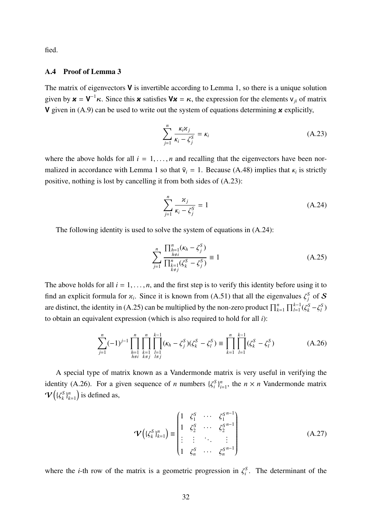fied.

## A.4 Proof of Lemma 3

The matrix of eigenvectors **V** is invertible according to Lemma 1, so there is a unique solution given by  $\mathbf{x} = \mathbf{V}^{-1} \kappa$ . Since this **x** satisfies  $\mathbf{V}\mathbf{x} = \kappa$ , the expression for the elements  $v_{ji}$  of matrix **V** given in (A.9) can be used to write out the system of equations determining **x** explicitly,

$$
\sum_{j=1}^{n} \frac{\kappa_i \kappa_j}{\kappa_i - \zeta_j^S} = \kappa_i
$$
 (A.23)

where the above holds for all  $i = 1, \ldots, n$  and recalling that the eigenvectors have been normalized in accordance with Lemma 1 so that  $\bar{v}_i = 1$ . Because (A.48) implies that  $\kappa_i$  is strictly positive, nothing is lost by cancelling it from both sides of (A.23):

$$
\sum_{j=1}^{n} \frac{\varkappa_j}{\kappa_i - \zeta_j^S} = 1
$$
\n(A.24)

The following identity is used to solve the system of equations in (A.24):

$$
\sum_{j=1}^{n} \frac{\prod_{\substack{h=1 \ k \neq i}}^{n} (\kappa_h - \zeta_j^S)}{\prod_{\substack{k=1 \ k \neq j}}^{n} (\zeta_k^S - \zeta_j^S)} \equiv 1
$$
\n(A.25)

The above holds for all  $i = 1, \ldots, n$ , and the first step is to verify this identity before using it to find an explicit formula for  $x_i$ . Since it is known from (A.51) that all the eigenvalues  $\zeta_j^S$  of S are distinct, the identity in (A.25) can be multiplied by the non-zero product  $\prod_{k=1}^{n} \prod_{l=1}^{k-1} (\zeta_k^S - \zeta_l^S)$ to obtain an equivalent expression (which is also required to hold for all *i*):

$$
\sum_{j=1}^{n} (-1)^{j-1} \prod_{\substack{h=1\\h\neq i}}^{n} \prod_{\substack{k=1\\k\neq j}}^{n} \prod_{\substack{l=1\\l\neq j}}^{k-1} (\kappa_h - \zeta_j^S)(\zeta_k^S - \zeta_l^S) \equiv \prod_{k=1}^{n} \prod_{l=1}^{k-1} (\zeta_k^S - \zeta_l^S) \tag{A.26}
$$

A special type of matrix known as a Vandermonde matrix is very useful in verifying the identity (A.26). For a given sequence of *n* numbers  $\{\zeta_i^S\}_{i=1}^n$ , the  $n \times n$  Vandermonde matrix  $\bm{\mathcal{V}}\big(\{\zeta_k^{\mathcal{S}}\}_k^n$  $\binom{n}{k=1}$  is defined as,

$$
\mathbf{\mathcal{V}}\left(\{\zeta_k^S\}_{k=1}^n\right) \equiv \begin{pmatrix} 1 & \zeta_1^S & \cdots & \zeta_1^{S^{n-1}} \\ 1 & \zeta_2^S & \cdots & \zeta_2^{S^{n-1}} \\ \vdots & \vdots & \ddots & \vdots \\ 1 & \zeta_n^S & \cdots & \zeta_n^{S^{n-1}} \end{pmatrix} \tag{A.27}
$$

where the *i*-th row of the matrix is a geometric progression in  $\zeta_i^S$ . The determinant of the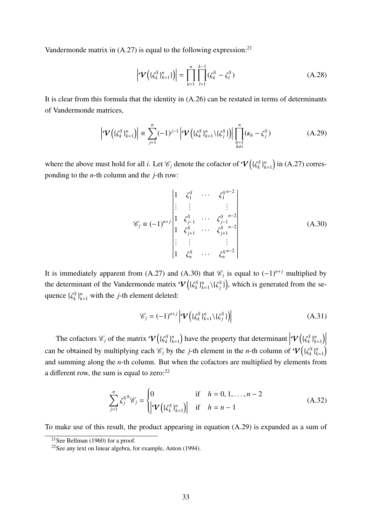Vandermonde matrix in  $(A.27)$  is equal to the following expression:<sup>21</sup>

$$
\left| \mathbf{V} \left( \{ \zeta_k^S \}_{k=1}^n \} \right) \right| = \prod_{k=1}^n \prod_{l=1}^{k-1} (\zeta_k^S - \zeta_l^S) \tag{A.28}
$$

It is clear from this formula that the identity in (A.26) can be restated in terms of determinants of Vandermonde matrices,

$$
\left| \mathbf{V} \left( \{ \zeta_k^S \}_{k=1}^n \right) \right| \equiv \sum_{j=1}^n (-1)^{j-1} \left| \mathbf{V} \left( \{ \zeta_k^S \}_{k=1}^n \setminus \{ \zeta_j^S \} \right) \right| \prod_{\substack{h=1 \\ h \neq i}}^n (\kappa_h - \zeta_j^S) \tag{A.29}
$$

where the above must hold for all *i*. Let  $\mathscr{C}_j$  denote the cofactor of  $\mathcal{V}\big(\{\zeta_k^S\}_{k=1}^n\big)$  $\binom{n}{k=1}$  in (A.27) corresponding to the *n*-th column and the *j*-th row:

$$
\mathcal{C}_{j} \equiv (-1)^{n+j} \begin{vmatrix} 1 & \zeta_{1}^{S} & \cdots & \zeta_{1}^{S^{n-2}} \\ \vdots & \vdots & & \vdots \\ 1 & \zeta_{j-1}^{S} & \cdots & \zeta_{j-1}^{S^{n-2}} \\ 1 & \zeta_{j+1}^{S} & \cdots & \zeta_{j+1}^{S^{n-2}} \\ \vdots & \vdots & & \vdots \\ 1 & \zeta_{n}^{S} & \cdots & \zeta_{n}^{S^{n-2}} \end{vmatrix}
$$
 (A.30)

It is immediately apparent from (A.27) and (A.30) that  $\mathcal{C}_j$  is equal to (−1)<sup>*n+j*</sup> multiplied by the determinant of the Vandermonde matrix  $\mathcal{V}(\{\zeta_k^S\}_{k=1}^n\setminus\{\zeta_j^S\})$ , which is generated from the sequence  $\{\zeta_k^S\}_{k=1}^n$  with the *j*-th element deleted:

$$
\mathcal{C}_j = (-1)^{n+j} \left| \mathbf{V} \left( \{ \zeta_k^S \}_{k=1}^n \setminus \{ \zeta_j^S \} \right) \right| \tag{A.31}
$$

The cofactors  $\mathscr{C}_j$  of the matrix  $\boldsymbol{\mathcal{V}}\left(\{\zeta_k^S\}_{k=1}^n\right)$  $\mathcal{W}_{k=1}^{n}$  have the property that determinant  $\left| \mathbf{\mathcal{V}} \left( \{ \zeta_k^S \}_{k=1}^n \right) \right|$ can be obtained by multiplying each  $\mathcal{C}_j$  by the *j*-th element in the *n*-th column of  $\mathbf{V}(\{\zeta_k^s\}_{k=1}^n)$  $\binom{n}{k=1}$  $\binom{n}{k=1}$ and summing along the *n*-th column. But when the cofactors are multiplied by elements from a different row, the sum is equal to zero: $22$ 

$$
\sum_{j=1}^{n} \zeta_j^{s} \mathscr{C}_j = \begin{cases} 0 & \text{if} \quad h = 0, 1, ..., n-2 \\ \left| \mathbf{V} \left( \{ \zeta_k^s \}_{k=1}^n \right) \right| & \text{if} \quad h = n-1 \end{cases}
$$
 (A.32)

To make use of this result, the product appearing in equation (A.29) is expanded as a sum of

<sup>&</sup>lt;sup>21</sup>See Bellman (1960) for a proof.

<sup>&</sup>lt;sup>22</sup>See any text on linear algebra, for example, Anton  $(1994)$ .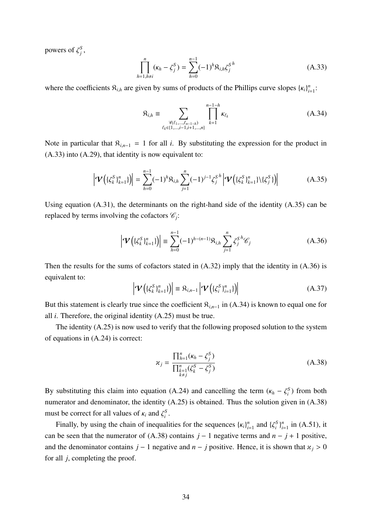powers of  $\zeta_j^S$ ,

$$
\prod_{h=1, h\neq i}^{n} (\kappa_h - \zeta_j^S) = \sum_{h=0}^{n-1} (-1)^h \mathfrak{R}_{i,h} \zeta_j^{S^h}
$$
 (A.33)

where the coefficients  $\mathbf{R}_{i,h}$  are given by sums of products of the Phillips curve slopes  $\{\kappa_i\}_{i=1}^n$ :

$$
\mathfrak{K}_{i,h} \equiv \sum_{\substack{\forall (\ell_1, \dots, \ell_{n-1-h}) \\ \ell_k \in \{1, \dots, i-1, i+1, \dots, n\}}} \prod_{k=1}^{n-1-h} \kappa_{\ell_k}
$$
\n(A.34)

Note in particular that  $\mathcal{R}_{i,n-1} = 1$  for all *i*. By substituting the expression for the product in (A.33) into (A.29), that identity is now equivalent to:

$$
\left| \mathbf{\mathcal{V}} \left( \{ \zeta_k^S \}_{k=1}^n \} \right) \right| = \sum_{h=0}^{n-1} (-1)^h \mathfrak{R}_{i,h} \sum_{j=1}^n (-1)^{j-1} \zeta_j^{S^h} \left| \mathbf{\mathcal{V}} \left( \{ \zeta_k^S \}_{k=1}^n \} \setminus \{ \zeta_j^S \} \right) \right| \tag{A.35}
$$

Using equation  $(A.31)$ , the determinants on the right-hand side of the identity  $(A.35)$  can be replaced by terms involving the cofactors  $\mathcal{C}_i$ :

$$
\left| \mathbf{V} \left( \{ \zeta_k^S \}_{k=1}^n \} \right) \right| \equiv \sum_{h=0}^{n-1} (-1)^{h - (n-1)} \mathfrak{R}_{i,h} \sum_{j=1}^n \zeta_j^{S^h} \mathcal{C}_j \tag{A.36}
$$

Then the results for the sums of cofactors stated in  $(A.32)$  imply that the identity in  $(A.36)$  is equivalent to:

$$
\left|\mathbf{V}\left(\{\zeta_k^S\}_{k=1}^n\}\right)\right| \equiv \mathfrak{K}_{i,n-1}\left|\mathbf{V}\left(\{\zeta_i^S\}_{i=1}^n\}\right)\right| \tag{A.37}
$$

But this statement is clearly true since the coefficient  $\mathcal{R}_{i,n-1}$  in (A.34) is known to equal one for all *i*. Therefore, the original identity (A.25) must be true.

The identity (A.25) is now used to verify that the following proposed solution to the system of equations in (A.24) is correct:

$$
\chi_j = \frac{\prod_{h=1}^n (\kappa_h - \zeta_j^S)}{\prod_{\substack{k=1 \\ k \neq j}}^n (\zeta_k^S - \zeta_j^S)}
$$
(A.38)

By substituting this claim into equation (A.24) and cancelling the term ( $\kappa_h - \zeta_i^S$ ) from both numerator and denominator, the identity (A.25) is obtained. Thus the solution given in (A.38) must be correct for all values of  $\kappa_i$  and  $\zeta_i^S$ .

Finally, by using the chain of inequalities for the sequences  $\{k_i\}_{i=1}^n$  and  $\{\zeta_i^S\}_{i=1}^n$  in (A.51), it can be seen that the numerator of (A.38) contains  $j - 1$  negative terms and  $n - j + 1$  positive, and the denominator contains  $j - 1$  negative and  $n - j$  positive. Hence, it is shown that  $x_j > 0$ for all *j*, completing the proof.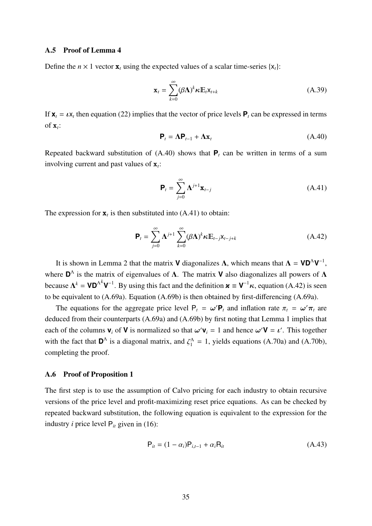## A.5 Proof of Lemma 4

Define the  $n \times 1$  vector **x**, using the expected values of a scalar time-series {x<sub>i</sub>}:

$$
\mathbf{x}_{t} = \sum_{k=0}^{\infty} (\beta \mathbf{\Lambda})^{k} \kappa \mathbf{E}_{t} \mathbf{x}_{t+k}
$$
 (A.39)

If  $\mathbf{x}_t = \boldsymbol{\iota} \mathbf{x}_t$  then equation (22) implies that the vector of price levels  $\mathbf{P}_t$  can be expressed in terms of  $\mathbf{x}_t$ :

$$
\mathbf{P}_t = \mathbf{\Lambda} \mathbf{P}_{t-1} + \mathbf{\Lambda} \mathbf{x}_t \tag{A.40}
$$

Repeated backward substitution of  $(A.40)$  shows that  $P_t$  can be written in terms of a sum involving current and past values of  $\mathbf{x}_t$ :

$$
\mathbf{P}_{t} = \sum_{j=0}^{\infty} \mathbf{\Lambda}^{j+1} \mathbf{x}_{t-j}
$$
 (A.41)

The expression for  $x_t$  is then substituted into (A.41) to obtain:

$$
\mathbf{P}_{t} = \sum_{j=0}^{\infty} \mathbf{\Lambda}^{j+1} \sum_{k=0}^{\infty} (\beta \mathbf{\Lambda})^{k} \kappa \mathbb{E}_{t-j} \mathbf{x}_{t-j+k}
$$
(A.42)

It is shown in Lemma 2 that the matrix **V** diagonalizes  $\Lambda$ , which means that  $\Lambda = \mathbf{VD}^{\Lambda}\mathbf{V}^{-1}$ , where  $\mathbf{D}^{\Lambda}$  is the matrix of eigenvalues of  $\Lambda$ . The matrix **V** also diagonalizes all powers of  $\Lambda$ because  $\Lambda^k = \mathsf{VD}^{\Lambda^k} \mathsf{V}^{-1}$ . By using this fact and the definition  $\mathbf{x} \equiv \mathsf{V}^{-1} \kappa$ , equation (A.42) is seen to be equivalent to (A.69a). Equation (A.69b) is then obtained by first-differencing (A.69a).

The equations for the aggregate price level  $P_t = \omega' P_t$  and inflation rate  $\pi_t = \omega' \pi_t$  are deduced from their counterparts (A.69a) and (A.69b) by first noting that Lemma 1 implies that each of the columns  $\mathbf{v}_i$  of **V** is normalized so that  $\omega' \mathbf{v}_i = 1$  and hence  $\omega' \mathbf{V} = \iota'$ . This together with the fact that  $\mathbf{D}^{\Lambda}$  is a diagonal matrix, and  $\zeta_1^{\Lambda} = 1$ , yields equations (A.70a) and (A.70b), completing the proof.

## A.6 Proof of Proposition 1

The first step is to use the assumption of Calvo pricing for each industry to obtain recursive versions of the price level and profit-maximizing reset price equations. As can be checked by repeated backward substitution, the following equation is equivalent to the expression for the industry *i* price level  $P_i$  given in (16):

$$
P_{it} = (1 - \alpha_i) P_{i, t-1} + \alpha_i R_{it}
$$
 (A.43)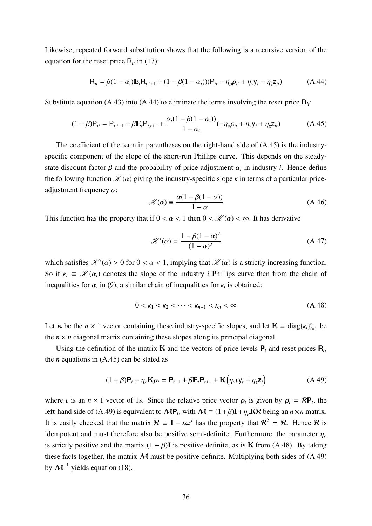Likewise, repeated forward substitution shows that the following is a recursive version of the equation for the reset price  $R<sub>it</sub>$  in (17):

$$
R_{it} = \beta (1 - \alpha_i) E_t R_{i, t+1} + (1 - \beta (1 - \alpha_i)) (P_{it} - \eta_\rho \rho_{it} + \eta_y y_t + \eta_z z_{it})
$$
(A.44)

Substitute equation (A.43) into (A.44) to eliminate the terms involving the reset price  $R_{ii}$ :

$$
(1 + \beta)P_{it} = P_{i,t-1} + \beta E_t P_{i,t+1} + \frac{\alpha_i (1 - \beta (1 - \alpha_i))}{1 - \alpha_i} (-\eta_\rho \rho_{it} + \eta_y \mathbf{y}_t + \eta_z \mathbf{z}_{it})
$$
(A.45)

The coefficient of the term in parentheses on the right-hand side of (A.45) is the industryspecific component of the slope of the short-run Phillips curve. This depends on the steadystate discount factor  $\beta$  and the probability of price adjustment  $\alpha_i$  in industry *i*. Hence define the following function  $\mathcal{K}(\alpha)$  giving the industry-specific slope  $\kappa$  in terms of a particular priceadjustment frequency  $\alpha$ :

$$
\mathcal{K}(\alpha) \equiv \frac{\alpha(1 - \beta(1 - \alpha))}{1 - \alpha} \tag{A.46}
$$

This function has the property that if  $0 < \alpha < 1$  then  $0 < \mathcal{K}(\alpha) < \infty$ . It has derivative

$$
\mathcal{K}'(\alpha) = \frac{1 - \beta(1 - \alpha)^2}{(1 - \alpha)^2} \tag{A.47}
$$

which satisfies  $\mathcal{K}'(\alpha) > 0$  for  $0 < \alpha < 1$ , implying that  $\mathcal{K}(\alpha)$  is a strictly increasing function. So if  $\kappa_i \equiv \mathcal{K}(\alpha_i)$  denotes the slope of the industry *i* Phillips curve then from the chain of inequalities for  $\alpha_i$  in (9), a similar chain of inequalities for  $\kappa_i$  is obtained:

$$
0 < \kappa_1 < \kappa_2 < \dots < \kappa_{n-1} < \kappa_n < \infty \tag{A.48}
$$

Let *κ* be the *n* × 1 vector containing these industry-specific slopes, and let  $\mathbf{K} \equiv \text{diag}\{k_i\}_{i=1}^n$  be the  $n \times n$  diagonal matrix containing these slopes along its principal diagonal.

Using the definition of the matrix **K** and the vectors of price levels  $P_t$  and reset prices  $R_t$ , the *n* equations in (A.45) can be stated as

$$
(1+\beta)\mathbf{P}_t + \eta_\rho \mathbf{K} \rho_t = \mathbf{P}_{t-1} + \beta \mathbb{E}_t \mathbf{P}_{t+1} + \mathbf{K} \left( \eta_y \nu \mathbf{y}_t + \eta_z \mathbf{z}_t \right)
$$
(A.49)

where *ι* is an  $n \times 1$  vector of 1s. Since the relative price vector  $\rho_t$  is given by  $\rho_t = \mathcal{R}P_t$ , the left-hand side of (A.49) is equivalent to  $MP_t$ , with  $M = (1 + \beta)I + \eta_0 K \mathcal{R}$  being an  $n \times n$  matrix. It is easily checked that the matrix  $\mathcal{R} = I - \iota \omega'$  has the property that  $\mathcal{R}^2 = \mathcal{R}$ . Hence  $\mathcal{R}$  is idempotent and must therefore also be positive semi-definite. Furthermore, the parameter  $\eta_0$ is strictly positive and the matrix  $(1 + \beta)$ I is positive definite, as is K from (A.48). By taking these facts together, the matrix  $M$  must be positive definite. Multiplying both sides of (A.49) by  $\mathcal{M}^{-1}$  yields equation (18).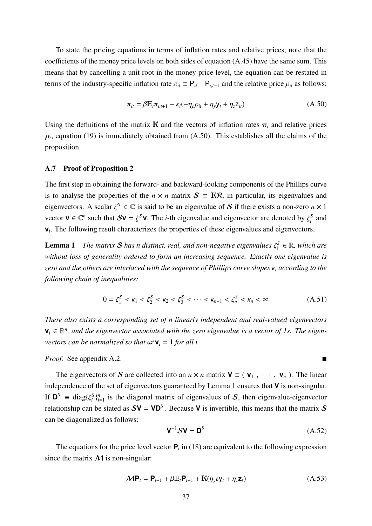To state the pricing equations in terms of inflation rates and relative prices, note that the coefficients of the money price levels on both sides of equation (A.45) have the same sum. This means that by cancelling a unit root in the money price level, the equation can be restated in terms of the industry-specific inflation rate  $\pi_{it} \equiv P_{it} - P_{i,t-1}$  and the relative price  $\rho_{it}$  as follows:

$$
\pi_{it} = \beta \mathbb{E}_t \pi_{i, t+1} + \kappa_i (-\eta_\rho \rho_{it} + \eta_y \mathbf{y}_t + \eta_z \mathbf{z}_{it})
$$
(A.50)

Using the definitions of the matrix **K** and the vectors of inflation rates  $\pi_t$  and relative prices  $\rho_t$ , equation (19) is immediately obtained from (A.50). This establishes all the claims of the proposition.

## A.7 Proof of Proposition 2

The first step in obtaining the forward- and backward-looking components of the Phillips curve is to analyse the properties of the  $n \times n$  matrix  $S = KR$ , in particular, its eigenvalues and eigenvectors. A scalar  $\zeta^S \in \mathbb{C}$  is said to be an eigenvalue of S if there exists a non-zero  $n \times 1$ vector  $\mathbf{v} \in \mathbb{C}^n$  such that  $S\mathbf{v} = \zeta^S \mathbf{v}$ . The *i*-th eigenvalue and eigenvector are denoted by  $\zeta_i^S$  and **v**<sub>*i*</sub>. The following result characterizes the properties of these eigenvalues and eigenvectors.

**Lemma 1** *The matrix S has n distinct, real, and non-negative eigenvalues*  $\zeta_i^S \in \mathbb{R}$ *, which are without loss of generality ordered to form an increasing sequence. Exactly one eigenvalue is zero and the others are interlaced with the sequence of Phillips curve slopes* κ*<sup>i</sup> according to the following chain of inequalities:*

$$
0 = \zeta_1^S < \kappa_1 < \zeta_2^S < \kappa_2 < \zeta_3^S < \cdots < \kappa_{n-1} < \zeta_n^S < \kappa_n < \infty \tag{A.51}
$$

*There also exists a corresponding set of n linearly independent and real-valued eigenvectors* **, and the eigenvector associated with the zero eigenvalue is a vector of 1s. The eigen***vectors can be normalized so that*  $\boldsymbol{\omega}' \mathbf{v}_i = 1$  *for all i.* 

## *Proof.* See appendix A.2.

The eigenvectors of S are collected into an  $n \times n$  matrix  $V = (V_1, \cdots, V_n)$ . The linear independence of the set of eigenvectors guaranteed by Lemma 1 ensures that **V** is non-singular. If  $\mathbf{D}^S$  = diag $\{\zeta_i^S\}_{i=1}^n$  is the diagonal matrix of eigenvalues of S, then eigenvalue-eigenvector relationship can be stated as  $SV = VD^S$ . Because V is invertible, this means that the matrix S can be diagonalized as follows:

$$
\mathbf{V}^{-1}\mathbf{S}\mathbf{V} = \mathbf{D}^{S} \tag{A.52}
$$

The equations for the price level vector  $P_t$  in (18) are equivalent to the following expression since the matrix  $M$  is non-singular:

$$
\mathbf{M}\mathbf{P}_t = \mathbf{P}_{t-1} + \beta \mathbb{E}_t \mathbf{P}_{t+1} + \mathbf{K}(\eta_y \mathbf{U}_t + \eta_z \mathbf{Z}_t)
$$
(A.53)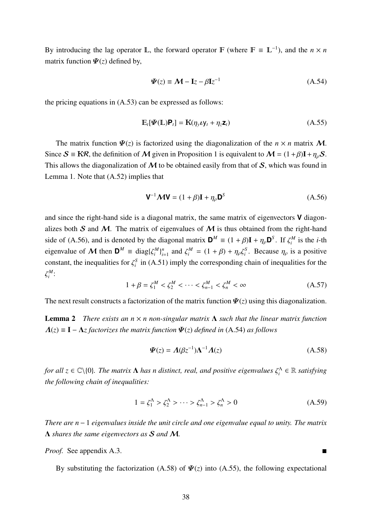By introducing the lag operator  $\mathbb{L}$ , the forward operator  $\mathbb{F}$  (where  $\mathbb{F} \equiv \mathbb{L}^{-1}$ ), and the  $n \times n$ matrix function  $\Psi(z)$  defined by,

$$
\Psi(z) \equiv \mathcal{M} - \mathbf{I}z - \beta \mathbf{I}z^{-1} \tag{A.54}
$$

the pricing equations in (A.53) can be expressed as follows:

$$
\mathbb{E}_t[\mathbf{\Psi}(\mathbb{L})\mathbf{P}_t] = \mathbf{K}(\eta_y \mathbf{U}_t + \eta_z \mathbf{Z}_t)
$$
(A.55)

The matrix function  $\Psi(z)$  is factorized using the diagonalization of the  $n \times n$  matrix M. Since  $S = KR$ , the definition of M given in Proposition 1 is equivalent to  $M = (1 + \beta)I + \eta_0 S$ . This allows the diagonalization of  $M$  to be obtained easily from that of  $S$ , which was found in Lemma 1. Note that (A.52) implies that

$$
\mathbf{V}^{-1}\mathbf{M}\mathbf{V} = (1+\beta)\mathbf{I} + \eta_{\rho}\mathbf{D}^{S}
$$
 (A.56)

and since the right-hand side is a diagonal matrix, the same matrix of eigenvectors **V** diagonalizes both S and M. The matrix of eigenvalues of M is thus obtained from the right-hand side of (A.56), and is denoted by the diagonal matrix  $\mathbf{D}^M \equiv (1 + \beta)\mathbf{I} + \eta_\rho \mathbf{D}^S$ . If  $\zeta_i^M$  is the *i*-th eigenvalue of M then  $D^M \equiv \text{diag}\{\zeta_i^M\}_{i=1}^n$  and  $\zeta_i^M = (1 + \beta) + \eta_\rho \zeta_i^S$ . Because  $\eta_\rho$  is a positive constant, the inequalities for  $\zeta_i^S$  in (A.51) imply the corresponding chain of inequalities for the  $\zeta_i^M$ :

$$
1 + \beta = \zeta_1^M < \zeta_2^M < \dots < \zeta_{n-1}^M < \zeta_n^M < \infty \tag{A.57}
$$

The next result constructs a factorization of the matrix function  $\Psi(z)$  using this diagonalization.

Lemma 2 *There exists an n* × *n non-singular matrix* Λ *such that the linear matrix function*  $Λ(z) = I - Λz$  *factorizes the matrix function*  $Ψ(z)$  *defined in* (A.54) *as follows* 

$$
\Psi(z) = A(\beta z^{-1})\Lambda^{-1}A(z) \tag{A.58}
$$

*for all*  $z \in \mathbb{C} \setminus \{0\}$ . The matrix  $\Lambda$  has n distinct, real, and positive eigenvalues  $\zeta_i^{\Lambda} \in \mathbb{R}$  satisfying *the following chain of inequalities:*

$$
1 = \zeta_1^{\Lambda} > \zeta_2^{\Lambda} > \dots > \zeta_{n-1}^{\Lambda} > \zeta_n^{\Lambda} > 0
$$
 (A.59)

*There are n* − 1 *eigenvalues inside the unit circle and one eigenvalue equal to unity. The matrix* Λ *shares the same eigenvectors as* S *and* M*.*

*Proof.* See appendix A.3.

By substituting the factorization (A.58) of  $\Psi(z)$  into (A.55), the following expectational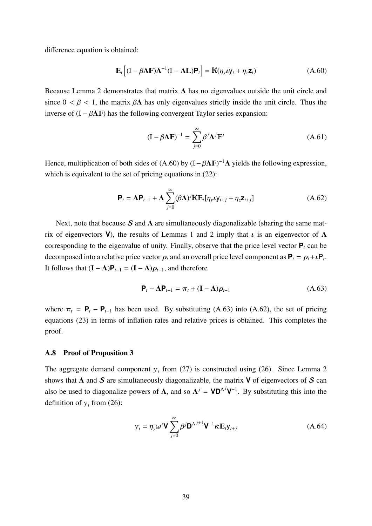difference equation is obtained:

$$
\mathbb{E}_{t}\left[ (\mathbb{I} - \beta \mathbf{\Lambda} \mathbb{F}) \mathbf{\Lambda}^{-1} (\mathbb{I} - \mathbf{\Lambda} \mathbb{L}) \mathbf{P}_{t} \right] = \mathbf{K} (\eta_{y} \mathbf{\ell} \mathbf{y}_{t} + \eta_{z} \mathbf{z}_{t})
$$
(A.60)

Because Lemma 2 demonstrates that matrix  $\Lambda$  has no eigenvalues outside the unit circle and since  $0 < \beta < 1$ , the matrix  $\beta \Lambda$  has only eigenvalues strictly inside the unit circle. Thus the inverse of  $(I - \beta \Lambda F)$  has the following convergent Taylor series expansion:

$$
(\mathbb{I} - \beta \Lambda \mathbb{F})^{-1} = \sum_{j=0}^{\infty} \beta^j \Lambda^j \mathbb{F}^j
$$
 (A.61)

Hence, multiplication of both sides of (A.60) by  $(I - \beta \Lambda F)^{-1} \Lambda$  yields the following expression, which is equivalent to the set of pricing equations in  $(22)$ :

$$
\mathbf{P}_{t} = \mathbf{\Lambda} \mathbf{P}_{t-1} + \mathbf{\Lambda} \sum_{j=0}^{\infty} (\beta \mathbf{\Lambda})^{j} \mathbf{K} \mathbb{E}_{t} [\eta_{y} \mathbf{\nu} \mathbf{y}_{t+j} + \eta_{z} \mathbf{z}_{t+j}]
$$
(A.62)

Next, note that because S and  $\Lambda$  are simultaneously diagonalizable (sharing the same matrix of eigenvectors **V**), the results of Lemmas 1 and 2 imply that  $\iota$  is an eigenvector of  $\Lambda$ corresponding to the eigenvalue of unity. Finally, observe that the price level vector  $P_t$  can be decomposed into a relative price vector  $\rho_t$  and an overall price level component as  $P_t = \rho_t + \iota P_t$ . It follows that  $(I – Λ)P<sub>t−1</sub> = (I – Λ)*ρ*<sub>t−1</sub>$ , and therefore

$$
\mathbf{P}_t - \mathbf{\Lambda} \mathbf{P}_{t-1} = \boldsymbol{\pi}_t + (\mathbf{I} - \mathbf{\Lambda}) \boldsymbol{\rho}_{t-1} \tag{A.63}
$$

where  $\pi_t = \mathbf{P}_t - \mathbf{P}_{t-1}$  has been used. By substituting (A.63) into (A.62), the set of pricing equations (23) in terms of inflation rates and relative prices is obtained. This completes the proof.

#### A.8 Proof of Proposition 3

The aggregate demand component  $y_t$  from (27) is constructed using (26). Since Lemma 2 shows that  $\Lambda$  and  $S$  are simultaneously diagonalizable, the matrix **V** of eigenvectors of  $S$  can also be used to diagonalize powers of  $\Lambda$ , and so  $\Lambda^j = \mathsf{VD}^{\Lambda^j} \mathsf{V}^{-1}$ . By substituting this into the definition of  $y_t$  from (26):

$$
y_t = \eta_y \omega' \mathbf{V} \sum_{j=0}^{\infty} \beta^j \mathbf{D}^{\Lambda^{j+1}} \mathbf{V}^{-1} \kappa \mathbb{E}_t y_{t+j}
$$
(A.64)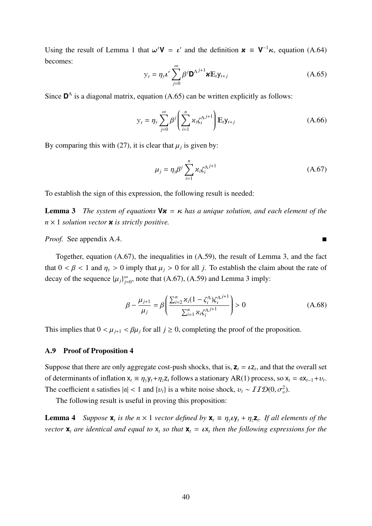Using the result of Lemma 1 that  $\omega'$  **V** =  $\iota'$  and the definition  $\boldsymbol{\varkappa} \equiv \mathbf{V}^{-1} \boldsymbol{\kappa}$ , equation (A.64) becomes:

$$
y_t = \eta_y \iota' \sum_{j=0}^{\infty} \beta^j \mathbf{D}^{\Lambda^{j+1}} \mathbf{x} \mathbb{E}_t y_{t+j}
$$
 (A.65)

Since  $\mathbf{D}^{\Lambda}$  is a diagonal matrix, equation (A.65) can be written explicitly as follows:

$$
y_t = \eta_y \sum_{j=0}^{\infty} \beta^j \left( \sum_{i=1}^n \alpha_i \zeta_i^{\Lambda^{j+1}} \right) E_t y_{t+j}
$$
 (A.66)

By comparing this with (27), it is clear that  $\mu_j$  is given by:

$$
\mu_j = \eta_{\mathcal{Y}} \beta^j \sum_{i=1}^n \varkappa_i \zeta_i^{\Lambda^{j+1}} \tag{A.67}
$$

To establish the sign of this expression, the following result is needed:

**Lemma 3** *The system of equations*  $Vx = \kappa$  *has a unique solution, and each element of the n* × 1 *solution vector* κ *is strictly positive.*

*Proof.* See appendix A.4.

Together, equation (A.67), the inequalities in (A.59), the result of Lemma 3, and the fact that  $0 < \beta < 1$  and  $\eta_y > 0$  imply that  $\mu_j > 0$  for all *j*. To establish the claim about the rate of decay of the sequence  $\{\mu_j\}_{j=0}^{\infty}$ , note that (A.67), (A.59) and Lemma 3 imply:

$$
\beta - \frac{\mu_{j+1}}{\mu_j} = \beta \left( \frac{\sum_{i=2}^{n} \varkappa_i (1 - \zeta_i^{\Lambda}) \zeta_i^{\Lambda^{j+1}}}{\sum_{i=1}^{n} \varkappa_i \zeta_i^{\Lambda^{j+1}}} \right) > 0
$$
\n(A.68)

This implies that  $0 < \mu_{j+1} < \beta\mu_j$  for all  $j \ge 0$ , completing the proof of the proposition.

## A.9 Proof of Proposition 4

Suppose that there are only aggregate cost-push shocks, that is,  $z_t = \iota z_t$ , and that the overall set of determinants of inflation  $x_t = \eta_y y_t + \eta_z z_t$  follows a stationary AR(1) process, so  $x_t = \alpha x_{t-1} + \nu_t$ . The coefficient a satisfies  $|a| < 1$  and  $\{v_t\}$  is a white noise shock,  $v_t \sim ITD(0, \sigma_v^2)$ .

The following result is useful in proving this proposition:

**Lemma 4** *Suppose*  $\mathbf{x}_t$  *is the*  $n \times 1$  *vector defined by*  $\mathbf{x}_t \equiv \eta_y \mathbf{v} \mathbf{y}_t + \eta_z \mathbf{z}_t$ *. If all elements of the vector*  $\mathbf{x}_t$  *are identical and equal to*  $\mathbf{x}_t$  *so that*  $\mathbf{x}_t = \iota \mathbf{x}_t$  *then the following expressions for the*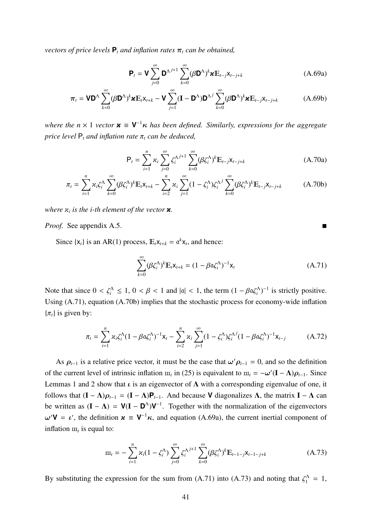*vectors of price levels*  $P_t$  *and inflation rates*  $\pi_t$  *can be obtained,* 

$$
\mathbf{P}_{t} = \mathbf{V} \sum_{j=0}^{\infty} \mathbf{D}^{\Lambda^{j+1}} \sum_{k=0}^{\infty} (\beta \mathbf{D}^{\Lambda})^{k} \mathbf{x} \mathbb{E}_{t-j} \mathbf{x}_{t-j+k}
$$
(A.69a)

$$
\boldsymbol{\pi}_{t} = \mathbf{V} \mathbf{D}^{\Lambda} \sum_{k=0}^{\infty} (\beta \mathbf{D}^{\Lambda})^{k} \mathbf{x} \mathbb{E}_{t} \mathbf{x}_{t+k} - \mathbf{V} \sum_{j=1}^{\infty} (\mathbf{I} - \mathbf{D}^{\Lambda}) \mathbf{D}^{\Lambda^{j}} \sum_{k=0}^{\infty} (\beta \mathbf{D}^{\Lambda})^{k} \mathbf{x} \mathbb{E}_{t-j} \mathbf{x}_{t-j+k}
$$
(A.69b)

*where the n* × 1 *vector*  $\boldsymbol{\varkappa}$   $\equiv$  **V**<sup>−1</sup> $\boldsymbol{\kappa}$  *has been defined. Similarly, expressions for the aggregate price level*  $P_t$  *and inflation rate*  $\pi_t$  *can be deduced,* 

$$
\mathsf{P}_{t} = \sum_{i=1}^{n} \varkappa_{i} \sum_{j=0}^{\infty} \zeta_{i}^{\Lambda^{j+1}} \sum_{k=0}^{\infty} (\beta \zeta_{i}^{\Lambda})^{k} \mathbb{E}_{t-j} \mathsf{x}_{t-j+k}
$$
(A.70a)

$$
\pi_t = \sum_{i=1}^n \varkappa_i \zeta_i^{\Lambda} \sum_{k=0}^{\infty} (\beta \zeta_i^{\Lambda})^k \mathbb{E}_t \mathsf{x}_{t+k} - \sum_{i=2}^n \varkappa_i \sum_{j=1}^{\infty} (1 - \zeta_i^{\Lambda}) \zeta_i^{\Lambda j} \sum_{k=0}^{\infty} (\beta \zeta_i^{\Lambda})^k \mathbb{E}_{t-j} \mathsf{x}_{t-j+k}
$$
(A.70b)

*where*  $x_i$  *is the i-th element of the vector*  $x$ .

*Proof.* See appendix A.5.

Since  $\{x_t\}$  is an AR(1) process,  $E_t x_{t+k} = \alpha^k x_t$ , and hence:

$$
\sum_{k=0}^{\infty} (\beta \zeta_i^{\Lambda})^k \mathbb{E}_t \mathsf{x}_{t+k} = (1 - \beta \mathfrak{a} \zeta_i^{\Lambda})^{-1} \mathsf{x}_t
$$
\n(A.71)

Note that since  $0 < \zeta_i^{\Lambda} \le 1$ ,  $0 < \beta < 1$  and  $|\alpha| < 1$ , the term  $(1 - \beta \alpha \zeta_i^{\Lambda})^{-1}$  is strictly positive. Using (A.71), equation (A.70b) implies that the stochastic process for economy-wide inflation  $\{\pi_t\}$  is given by:

$$
\pi_t = \sum_{i=1}^n \varkappa_i \zeta_i^{\Lambda} (1 - \beta \alpha \zeta_i^{\Lambda})^{-1} x_t - \sum_{i=2}^n \varkappa_i \sum_{j=1}^{\infty} (1 - \zeta_i^{\Lambda}) \zeta_i^{\Lambda j} (1 - \beta \alpha \zeta_i^{\Lambda})^{-1} x_{t-j}
$$
(A.72)

As  $\rho_{t-1}$  is a relative price vector, it must be the case that  $\omega' \rho_{t-1} = 0$ , and so the definition of the current level of intrinsic inflation  $\mathbf{m}_t$  in (25) is equivalent to  $\mathbf{m}_t = -\omega'(\mathbf{I} - \mathbf{\Lambda})\rho_{t-1}$ . Since Lemmas 1 and 2 show that  $\iota$  is an eigenvector of  $\Lambda$  with a corresponding eigenvalue of one, it follows that  $(I - \Lambda)\rho_{t-1} = (I - \Lambda)\mathbf{P}_{t-1}$ . And because **V** diagonalizes  $\Lambda$ , the matrix  $I - \Lambda$  can be written as  $(I - \Lambda) = V(I - D^{\Lambda})V^{-1}$ . Together with the normalization of the eigenvectors  $\omega'$ **V** = *ι*', the definition  $\boldsymbol{\varkappa} \equiv \mathbf{V}^{-1} \boldsymbol{\kappa}$ , and equation (A.69a), the current inertial component of inflation  $\mathbf{m}_t$  is equal to:

$$
\mathbf{m}_{t} = -\sum_{i=1}^{n} \kappa_{i} (1 - \zeta_{i}^{\Lambda}) \sum_{j=0}^{\infty} \zeta_{i}^{\Lambda^{j+1}} \sum_{k=0}^{\infty} (\beta \zeta_{i}^{\Lambda})^{k} \mathbf{E}_{t-1-j} \mathbf{x}_{t-1-j+k}
$$
(A.73)

By substituting the expression for the sum from (A.71) into (A.73) and noting that  $\zeta_1^{\Lambda} = 1$ ,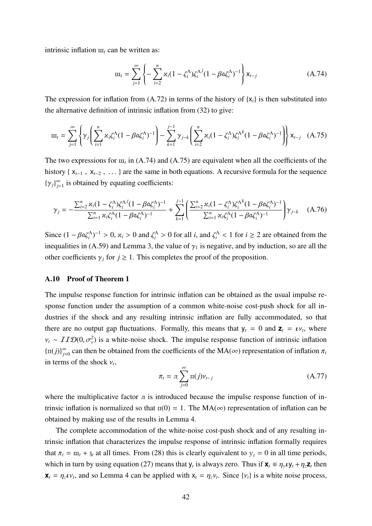intrinsic inflation  $\mathbf{m}_t$  can be written as:

$$
\mathbf{m}_{t} = \sum_{j=1}^{\infty} \left\{ -\sum_{i=2}^{n} \varkappa_{i} (1 - \zeta_{i}^{\Lambda}) \zeta_{i}^{\Lambda^{j}} (1 - \beta \mathfrak{a} \zeta_{i}^{\Lambda})^{-1} \right\} \mathbf{x}_{t-j}
$$
(A.74)

The expression for inflation from  $(A.72)$  in terms of the history of  $\{x_t\}$  is then substituted into the alternative definition of intrinsic inflation from (32) to give:

$$
\mathbf{m}_{t} = \sum_{j=1}^{\infty} \left\{ \gamma_{j} \left( \sum_{i=1}^{n} \varkappa_{i} \zeta_{i}^{\Lambda} (1 - \beta \mathfrak{a} \zeta_{i}^{\Lambda})^{-1} \right) - \sum_{k=1}^{j-1} \gamma_{j-k} \left( \sum_{i=2}^{n} \varkappa_{i} (1 - \zeta_{i}^{\Lambda}) \zeta_{i}^{\Lambda^{k}} (1 - \beta \mathfrak{a} \zeta_{i}^{\Lambda})^{-1} \right) \right\} \mathbf{x}_{t-j} \quad (A.75)
$$

The two expressions for  $m_t$  in (A.74) and (A.75) are equivalent when all the coefficients of the history { x*t*−<sup>1</sup> , x*t*−<sup>2</sup> , ... } are the same in both equations. A recursive formula for the sequence  ${\{\gamma_j\}}_{j=1}^{\infty}$  is obtained by equating coefficients:

$$
\gamma_j = -\frac{\sum_{i=2}^n \varkappa_i (1 - \zeta_i^{\Lambda}) \zeta_i^{\Lambda j} (1 - \beta \alpha \zeta_i^{\Lambda})^{-1}}{\sum_{i=1}^n \varkappa_i \zeta_i^{\Lambda} (1 - \beta \alpha \zeta_i^{\Lambda})^{-1}} + \sum_{k=1}^{j-1} \left( \frac{\sum_{i=2}^n \varkappa_i (1 - \zeta_i^{\Lambda}) \zeta_i^{\Lambda k} (1 - \beta \alpha \zeta_i^{\Lambda})^{-1}}{\sum_{i=1}^n \varkappa_i \zeta_i^{\Lambda} (1 - \beta \alpha \zeta_i^{\Lambda})^{-1}} \right) \gamma_{j-k} \quad (A.76)
$$

Since  $(1 - \beta \alpha \zeta_i^{\Lambda})^{-1} > 0$ ,  $\varkappa_i > 0$  and  $\zeta_i^{\Lambda} > 0$  for all *i*, and  $\zeta_i^{\Lambda} < 1$  for  $i \ge 2$  are obtained from the inequalities in (A.59) and Lemma 3, the value of  $\gamma_1$  is negative, and by induction, so are all the other coefficients  $\gamma_i$  for  $j \geq 1$ . This completes the proof of the proposition.

#### A.10 Proof of Theorem 1

The impulse response function for intrinsic inflation can be obtained as the usual impulse response function under the assumption of a common white-noise cost-push shock for all industries if the shock and any resulting intrinsic inflation are fully accommodated, so that there are no output gap fluctuations. Formally, this means that  $y_t = 0$  and  $z_t = \nu_t$ , where  $v_t \sim ITD(0, \sigma_v^2)$  is a white-noise shock. The impulse response function of intrinsic inflation  $\{\pi(j)\}_{j=0}^{\infty}$  can then be obtained from the coefficients of the MA( $\infty$ ) representation of inflation  $\pi_j$ in terms of the shock  $v_t$ ,

$$
\pi_t = \pi \sum_{j=0}^{\infty} \pi(j) v_{t-j}
$$
\n(A.77)

where the multiplicative factor  $\pi$  is introduced because the impulse response function of intrinsic inflation is normalized so that  $\pi(0) = 1$ . The MA( $\infty$ ) representation of inflation can be obtained by making use of the results in Lemma 4.

The complete accommodation of the white-noise cost-push shock and of any resulting intrinsic inflation that characterizes the impulse response of intrinsic inflation formally requires that  $\pi_t = m_t + \mathfrak{z}_t$  at all times. From (28) this is clearly equivalent to  $y_t = 0$  in all time periods, which in turn by using equation (27) means that  $y_t$  is always zero. Thus if  $\mathbf{x}_t \equiv \eta_y \mathbf{v} y_t + \eta_z \mathbf{z}_t$  then  $\mathbf{x}_t = \eta_z \nu_t$ , and so Lemma 4 can be applied with  $x_t = \eta_z \nu_t$ . Since  $\{\nu_t\}$  is a white noise process,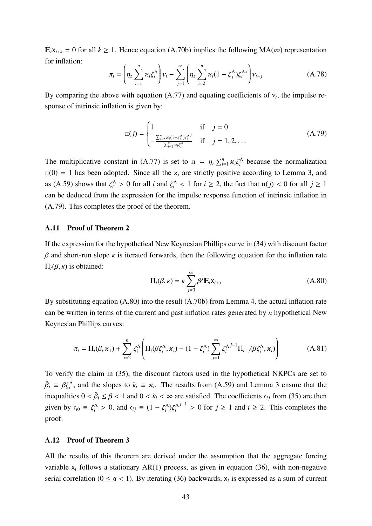$E_t x_{t+k} = 0$  for all  $k \ge 1$ . Hence equation (A.70b) implies the following MA(∞) representation for inflation:

$$
\pi_t = \left(\eta_z \sum_{i=1}^n \varkappa_i \zeta_i^{\Lambda}\right) v_t - \sum_{j=1}^{\infty} \left(\eta_z \sum_{i=2}^n \varkappa_i (1 - \zeta_j^{\Lambda}) \zeta_i^{\Lambda j}\right) v_{t-j}
$$
(A.78)

By comparing the above with equation (A.77) and equating coefficients of  $v_t$ , the impulse response of intrinsic inflation is given by:

$$
\Pi(j) = \begin{cases} 1 & \text{if } j = 0 \\ -\frac{\sum_{i=2}^{n} \chi_i (1 - \zeta_i^{\Lambda}) \zeta_i^{\Lambda j}}{\sum_{i=1}^{n} \chi_i \zeta_i^{\Lambda}} & \text{if } j = 1, 2, ... \end{cases}
$$
(A.79)

The multiplicative constant in (A.77) is set to  $\pi = \eta_z \sum_{i=1}^n \alpha_i \zeta_i^{\Lambda}$  because the normalization  $\pi(0) = 1$  has been adopted. Since all the  $x_i$  are strictly positive according to Lemma 3, and as (A.59) shows that  $\zeta_i^{\Lambda} > 0$  for all *i* and  $\zeta_i^{\Lambda} < 1$  for  $i \ge 2$ , the fact that  $\pi(j) < 0$  for all  $j \ge 1$ can be deduced from the expression for the impulse response function of intrinsic inflation in (A.79). This completes the proof of the theorem.

#### A.11 Proof of Theorem 2

If the expression for the hypothetical New Keynesian Phillips curve in (34) with discount factor  $β$  and short-run slope  $κ$  is iterated forwards, then the following equation for the inflation rate  $\Pi_t$ (β, κ) is obtained:

$$
\Pi_t(\beta,\kappa) = \kappa \sum_{j=0}^{\infty} \beta^j \mathbb{E}_t \mathsf{x}_{t+j}
$$
\n(A.80)

By substituting equation (A.80) into the result (A.70b) from Lemma 4, the actual inflation rate can be written in terms of the current and past inflation rates generated by *n* hypothetical New Keynesian Phillips curves:

$$
\pi_t = \Pi_t(\beta, \varkappa_1) + \sum_{i=2}^n \zeta_i^{\Lambda} \left( \Pi_t(\beta \zeta_i^{\Lambda}, \varkappa_i) - (1 - \zeta_i^{\Lambda}) \sum_{j=1}^{\infty} \zeta_i^{\Lambda^{j-1}} \Pi_{t-j}(\beta \zeta_i^{\Lambda}, \varkappa_i) \right)
$$
(A.81)

To verify the claim in (35), the discount factors used in the hypothetical NKPCs are set to  $\tilde{\beta}_i \equiv \beta \zeta_i^{\Lambda}$ , and the slopes to  $\tilde{\kappa}_i \equiv \kappa_i$ . The results from (A.59) and Lemma 3 ensure that the inequalities  $0 < \tilde{\beta}_i \le \beta < 1$  and  $0 < \tilde{\kappa}_i < \infty$  are satisfied. The coefficients  $\mathfrak{c}_{ij}$  from (35) are then given by  $\mathfrak{c}_{i0} \equiv \zeta_i^{\Lambda} > 0$ , and  $\mathfrak{c}_{ij} \equiv (1 - \zeta_i^{\Lambda}) \zeta_i^{\Lambda}$ *j*<sup>−1</sup> > 0 for *j* ≥ 1 and *i* ≥ 2. This completes the proof.

## A.12 Proof of Theorem 3

All the results of this theorem are derived under the assumption that the aggregate forcing variable  $x_t$  follows a stationary AR(1) process, as given in equation (36), with non-negative serial correlation ( $0 \le \alpha < 1$ ). By iterating (36) backwards,  $x_t$  is expressed as a sum of current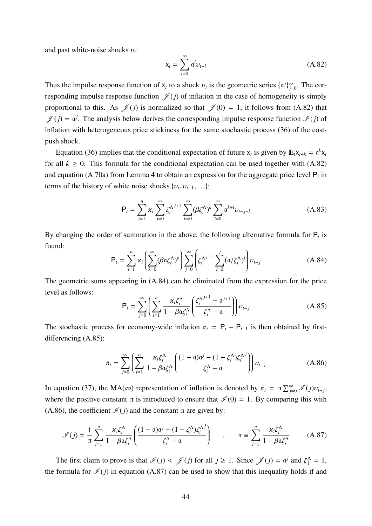and past white-noise shocks υ*t*:

$$
\mathbf{x}_{t} = \sum_{l=0}^{\infty} \mathfrak{a}^{l} \mathbf{v}_{t-l} \tag{A.82}
$$

Thus the impulse response function of  $x_t$  to a shock  $v_t$  is the geometric series  $\{a^j\}_{j=0}^{\infty}$ . The corresponding impulse response function  $\mathcal{J}(j)$  of inflation in the case of homogeneity is simply proportional to this. As  $\mathscr{J}(j)$  is normalized so that  $\mathscr{J}(0) = 1$ , it follows from (A.82) that  $\mathscr{J}(j) = \mathfrak{a}^j$ . The analysis below derives the corresponding impulse response function  $\mathscr{I}(j)$  of inflation with heterogeneous price stickiness for the same stochastic process (36) of the costpush shock.

Equation (36) implies that the conditional expectation of future  $x_t$  is given by  $E_t x_{t+k} = \alpha^k x_t$ for all  $k \geq 0$ . This formula for the conditional expectation can be used together with (A.82) and equation (A.70a) from Lemma 4 to obtain an expression for the aggregate price level P*<sup>t</sup>* in terms of the history of white noise shocks  $\{v_t, v_{t-1}, \ldots\}$ :

$$
P_{t} = \sum_{i=1}^{n} \alpha_{i} \sum_{j=0}^{\infty} \zeta_{i}^{\Lambda^{j+1}} \sum_{k=0}^{\infty} (\beta \zeta_{i}^{\Lambda})^{k} \sum_{l=0}^{\infty} \mathfrak{a}^{k+l} v_{t-j-l}
$$
(A.83)

By changing the order of summation in the above, the following alternative formula for  $P_t$  is found:

$$
P_t = \sum_{i=1}^n \kappa_i \left( \sum_{k=0}^\infty (\beta \alpha \zeta_i^{\Lambda})^k \right) \sum_{j=0}^\infty \left( \zeta_i^{\Lambda j+1} \sum_{l=0}^j (\alpha / \zeta_i^{\Lambda})^l \right) \nu_{t-j}
$$
(A.84)

The geometric sums appearing in (A.84) can be eliminated from the expression for the price level as follows:

$$
\mathsf{P}_{t} = \sum_{j=0}^{\infty} \left( \sum_{i=1}^{n} \frac{\varkappa_{i} \zeta_{i}^{\Lambda}}{1 - \beta \alpha \zeta_{i}^{\Lambda}} \left( \frac{\zeta_{i}^{\Lambda^{j+1}} - \alpha^{j+1}}{\zeta_{i}^{\Lambda} - \alpha} \right) \right) \nu_{t-j}
$$
(A.85)

The stochastic process for economy-wide inflation  $\pi_t = P_t - P_{t-1}$  is then obtained by firstdifferencing (A.85):

$$
\pi_t = \sum_{j=0}^{\infty} \left( \sum_{i=1}^n \frac{\varkappa_i \zeta_i^{\Lambda}}{1 - \beta \alpha \zeta_i^{\Lambda}} \left( \frac{(1 - \alpha)\alpha^j - (1 - \zeta_i^{\Lambda}) \zeta_i^{\Lambda^j}}{\zeta_i^{\Lambda} - \alpha} \right) \right) \nu_{t-j}
$$
(A.86)

In equation (37), the MA( $\infty$ ) representation of inflation is denoted by  $\pi_t = \pi \sum_{j=0}^{\infty} \mathcal{I}(j) v_{t-j}$ , where the positive constant  $\pi$  is introduced to ensure that  $\mathcal{I}(0) = 1$ . By comparing this with (A.86), the coefficient  $\mathcal{I}(j)$  and the constant  $\pi$  are given by:

$$
\mathcal{I}(j) = \frac{1}{\pi} \sum_{i=1}^{n} \frac{\varkappa_i \zeta_i^{\Lambda}}{1 - \beta \alpha \zeta_i^{\Lambda}} \left( \frac{(1 - \alpha)\alpha^j - (1 - \zeta_i^{\Lambda}) \zeta_i^{\Lambda^j}}{\zeta_i^{\Lambda} - \alpha} \right) \qquad , \qquad \pi \equiv \sum_{i=1}^{n} \frac{\varkappa_i \zeta_i^{\Lambda}}{1 - \beta \alpha \zeta_i^{\Lambda}} \qquad (A.87)
$$

The first claim to prove is that  $\mathcal{I}(j) < \mathcal{J}(j)$  for all  $j \ge 1$ . Since  $\mathcal{J}(j) = \mathfrak{a}^j$  and  $\zeta_1^{\Lambda} = 1$ , the formula for  $\mathcal{I}(j)$  in equation (A.87) can be used to show that this inequality holds if and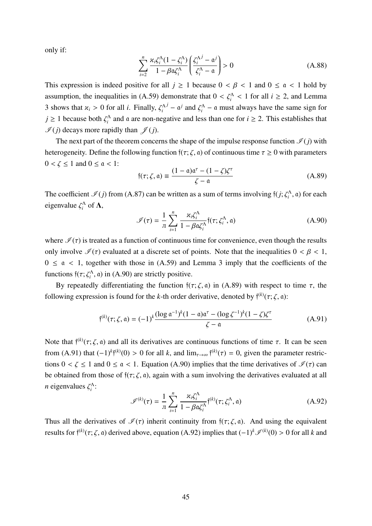only if:

$$
\sum_{i=2}^{n} \frac{\varkappa_i \zeta_i^{\Lambda} (1 - \zeta_i^{\Lambda})}{1 - \beta \alpha \zeta_i^{\Lambda}} \left( \frac{\zeta_i^{\Lambda^j} - \alpha^j}{\zeta_i^{\Lambda} - \alpha} \right) > 0
$$
 (A.88)

This expression is indeed positive for all  $j \ge 1$  because  $0 \lt \beta \lt 1$  and  $0 \le \alpha \lt 1$  hold by assumption, the inequalities in (A.59) demonstrate that  $0 < \zeta_i^{\Lambda} < 1$  for all  $i \ge 2$ , and Lemma 3 shows that  $\varkappa_i > 0$  for all *i*. Finally,  $\zeta_i^{\Lambda}$  $j - a^j$  and  $\zeta_i^{\Lambda}$  – a must always have the same sign for  $j \ge 1$  because both  $\zeta_i^{\Lambda}$  and a are non-negative and less than one for  $i \ge 2$ . This establishes that  $\mathscr{I}(j)$  decays more rapidly than  $\mathscr{I}(j)$ .

The next part of the theorem concerns the shape of the impulse response function  $\mathcal{I}(j)$  with heterogeneity. Define the following function  $f(\tau; \zeta, \mathfrak{a})$  of continuous time  $\tau \geq 0$  with parameters  $0 < \zeta \leq 1$  and  $0 \leq \alpha < 1$ :

$$
f(\tau; \zeta, \mathfrak{a}) \equiv \frac{(1 - \mathfrak{a})\mathfrak{a}^{\tau} - (1 - \zeta)\zeta^{\tau}}{\zeta - \mathfrak{a}}
$$
(A.89)

The coefficient  $\mathcal{I}(j)$  from (A.87) can be written as a sum of terms involving  $f(j; \zeta_i^{\Lambda}, a)$  for each eigenvalue  $\zeta_i^{\Lambda}$  of  $\Lambda$ ,

$$
\mathcal{I}(\tau) = \frac{1}{\pi} \sum_{i=1}^{n} \frac{\varkappa_i \zeta_i^{\Lambda}}{1 - \beta \alpha \zeta_i^{\Lambda}} \mathfrak{f}(\tau; \zeta_i^{\Lambda}, \mathfrak{a})
$$
(A.90)

where  $\mathcal{I}(\tau)$  is treated as a function of continuous time for convenience, even though the results only involve  $\mathcal{I}(\tau)$  evaluated at a discrete set of points. Note that the inequalities  $0 < \beta < 1$ ,  $0 \le \alpha < 1$ , together with those in (A.59) and Lemma 3 imply that the coefficients of the functions  $\mathfrak{f}(\tau; \zeta_i^{\Lambda}, \mathfrak{a})$  in (A.90) are strictly positive.

By repeatedly differentiating the function  $f(\tau; \zeta, \mathfrak{a})$  in (A.89) with respect to time  $\tau$ , the following expression is found for the *k*-th order derivative, denoted by  $f^{(k)}(\tau; \zeta, \mathfrak{a})$ :

$$
\mathfrak{f}^{(k)}(\tau;\zeta,\mathfrak{a}) = (-1)^k \frac{(\log \mathfrak{a}^{-1})^k (1-\mathfrak{a}) \mathfrak{a}^{\tau} - (\log \zeta^{-1})^k (1-\zeta) \zeta^{\tau}}{\zeta - \mathfrak{a}} \tag{A.91}
$$

Note that  $f^{(k)}(\tau;\zeta,\mathfrak{a})$  and all its derivatives are continuous functions of time  $\tau$ . It can be seen from (A.91) that  $(-1)^k \mathfrak{f}^{(k)}(0) > 0$  for all k, and  $\lim_{\tau \to \infty} \mathfrak{f}^{(k)}(\tau) = 0$ , given the parameter restrictions  $0 < \zeta \le 1$  and  $0 \le \alpha < 1$ . Equation (A.90) implies that the time derivatives of  $\mathcal{I}(\tau)$  can be obtained from those of  $f(\tau; \zeta, \mathfrak{a})$ , again with a sum involving the derivatives evaluated at all *n* eigenvalues  $\zeta_i^{\Lambda}$ :

$$
\mathcal{J}^{(k)}(\tau) = \frac{1}{\pi} \sum_{i=1}^{n} \frac{\varkappa_i \zeta_i^{\Lambda}}{1 - \beta \alpha \zeta_i^{\Lambda}} \mathfrak{f}^{(k)}(\tau; \zeta_i^{\Lambda}, \mathfrak{a}) \tag{A.92}
$$

Thus all the derivatives of  $\mathcal{I}(\tau)$  inherit continuity from  $f(\tau;\zeta,\mathfrak{a})$ . And using the equivalent results for  $f^{(k)}(\tau;\zeta,\mathfrak{a})$  derived above, equation (A.92) implies that  $(-1)^k \mathcal{I}^{(k)}(0) > 0$  for all *k* and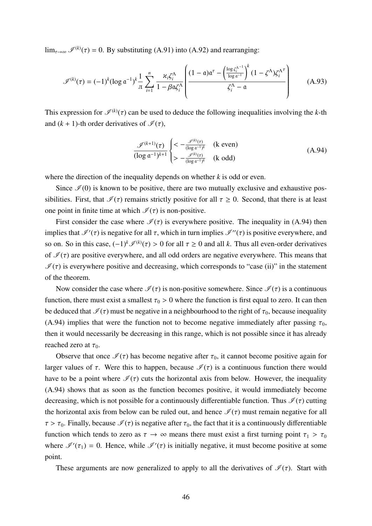$\lim_{\tau \to \infty} \mathcal{I}^{(k)}(\tau) = 0$ . By substituting (A.91) into (A.92) and rearranging:

$$
\mathscr{I}^{(k)}(\tau) = (-1)^k (\log \mathfrak{a}^{-1})^k \frac{1}{\pi} \sum_{i=1}^n \frac{\varkappa_i \zeta_i^{\Lambda}}{1 - \beta \mathfrak{a} \zeta_i^{\Lambda}} \left( \frac{(1 - \mathfrak{a}) \mathfrak{a}^{\tau} - \left( \frac{\log \zeta_i^{\Lambda^{-1}}}{\log \mathfrak{a}^{-1}} \right)^k (1 - \zeta^{\Lambda}) \zeta_i^{\Lambda^{\tau}}}{\zeta_i^{\Lambda} - \mathfrak{a}} \right) \tag{A.93}
$$

This expression for  $\mathcal{I}^{(k)}(\tau)$  can be used to deduce the following inequalities involving the *k*-th and  $(k + 1)$ -th order derivatives of  $\mathcal{I}(\tau)$ ,

$$
\frac{\mathcal{J}^{(k+1)}(\tau)}{(\log \mathfrak{a}^{-1})^{k+1}} \begin{cases} < -\frac{\mathcal{J}^{(k)}(\tau)}{(\log \mathfrak{a}^{-1})^k} & \text{(k even)}\\ > -\frac{\mathcal{J}^{(k)}(\tau)}{(\log \mathfrak{a}^{-1})^k} & \text{(k odd)} \end{cases} \tag{A.94}
$$

where the direction of the inequality depends on whether *k* is odd or even.

Since  $\mathcal{I}(0)$  is known to be positive, there are two mutually exclusive and exhaustive possibilities. First, that  $\mathcal{I}(\tau)$  remains strictly positive for all  $\tau \geq 0$ . Second, that there is at least one point in finite time at which  $\mathcal{I}(\tau)$  is non-positive.

First consider the case where  $\mathcal{I}(\tau)$  is everywhere positive. The inequality in (A.94) then implies that  $\mathcal{I}'(\tau)$  is negative for all  $\tau$ , which in turn implies  $\mathcal{I}''(\tau)$  is positive everywhere, and so on. So in this case,  $(-1)^k \mathcal{I}^{(k)}(\tau) > 0$  for all  $\tau \ge 0$  and all *k*. Thus all even-order derivatives of  $\mathcal{I}(\tau)$  are positive everywhere, and all odd orders are negative everywhere. This means that  $\mathcal{I}(\tau)$  is everywhere positive and decreasing, which corresponds to "case (ii)" in the statement of the theorem.

Now consider the case where  $\mathcal{I}(\tau)$  is non-positive somewhere. Since  $\mathcal{I}(\tau)$  is a continuous function, there must exist a smallest  $\tau_0 > 0$  where the function is first equal to zero. It can then be deduced that  $\mathcal{I}(\tau)$  must be negative in a neighbourhood to the right of  $\tau_0$ , because inequality (A.94) implies that were the function not to become negative immediately after passing  $\tau_0$ , then it would necessarily be decreasing in this range, which is not possible since it has already reached zero at  $\tau_0$ .

Observe that once  $\mathcal{I}(\tau)$  has become negative after  $\tau_0$ , it cannot become positive again for larger values of  $\tau$ . Were this to happen, because  $\mathcal{I}(\tau)$  is a continuous function there would have to be a point where  $\mathcal{I}(\tau)$  cuts the horizontal axis from below. However, the inequality (A.94) shows that as soon as the function becomes positive, it would immediately become decreasing, which is not possible for a continuously differentiable function. Thus  $\mathcal{I}(\tau)$  cutting the horizontal axis from below can be ruled out, and hence  $\mathcal{I}(\tau)$  must remain negative for all  $\tau > \tau_0$ . Finally, because  $\mathcal{I}(\tau)$  is negative after  $\tau_0$ , the fact that it is a continuously differentiable function which tends to zero as  $\tau \to \infty$  means there must exist a first turning point  $\tau_1 > \tau_0$ where  $\mathcal{I}'(\tau_1) = 0$ . Hence, while  $\mathcal{I}'(\tau)$  is initially negative, it must become positive at some point.

These arguments are now generalized to apply to all the derivatives of  $\mathcal{I}(\tau)$ . Start with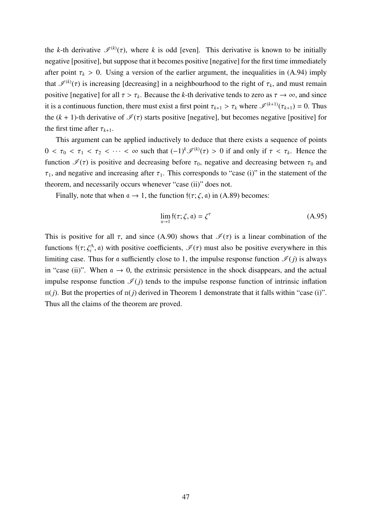the *k*-th derivative  $\mathscr{I}^{(k)}(\tau)$ , where *k* is odd [even]. This derivative is known to be initially negative [positive], but suppose that it becomes positive [negative] for the first time immediately after point  $\tau_k > 0$ . Using a version of the earlier argument, the inequalities in (A.94) imply that  $\mathcal{I}^{(k)}(\tau)$  is increasing [decreasing] in a neighbourhood to the right of  $\tau_k$ , and must remain positive [negative] for all  $\tau > \tau_k$ . Because the *k*-th derivative tends to zero as  $\tau \to \infty$ , and since it is a continuous function, there must exist a first point  $\tau_{k+1} > \tau_k$  where  $\mathcal{I}^{(k+1)}(\tau_{k+1}) = 0$ . Thus the  $(k + 1)$ -th derivative of  $\mathcal{I}(\tau)$  starts positive [negative], but becomes negative [positive] for the first time after  $\tau_{k+1}$ .

This argument can be applied inductively to deduce that there exists a sequence of points  $0 < \tau_0 < \tau_1 < \tau_2 < \cdots < \infty$  such that  $(-1)^k \mathcal{I}^{(k)}(\tau) > 0$  if and only if  $\tau < \tau_k$ . Hence the function  $\mathcal{I}(\tau)$  is positive and decreasing before  $\tau_0$ , negative and decreasing between  $\tau_0$  and  $\tau_1$ , and negative and increasing after  $\tau_1$ . This corresponds to "case (i)" in the statement of the theorem, and necessarily occurs whenever "case (ii)" does not.

Finally, note that when  $\alpha \rightarrow 1$ , the function  $f(\tau; \zeta, \alpha)$  in (A.89) becomes:

$$
\lim_{\mathfrak{a}\to 1} \mathfrak{f}(\tau;\zeta,\mathfrak{a}) = \zeta^{\tau}
$$
\n(A.95)

This is positive for all  $\tau$ , and since (A.90) shows that  $\mathcal{I}(\tau)$  is a linear combination of the functions  $f(\tau;\zeta_i^{\Lambda}, a)$  with positive coefficients,  $\mathcal{I}(\tau)$  must also be positive everywhere in this limiting case. Thus for a sufficiently close to 1, the impulse response function  $\mathcal{I}(j)$  is always in "case (ii)". When  $\alpha \to 0$ , the extrinsic persistence in the shock disappears, and the actual impulse response function  $\mathcal{I}(j)$  tends to the impulse response function of intrinsic inflation  $\pi(j)$ . But the properties of  $\pi(j)$  derived in Theorem 1 demonstrate that it falls within "case (i)". Thus all the claims of the theorem are proved.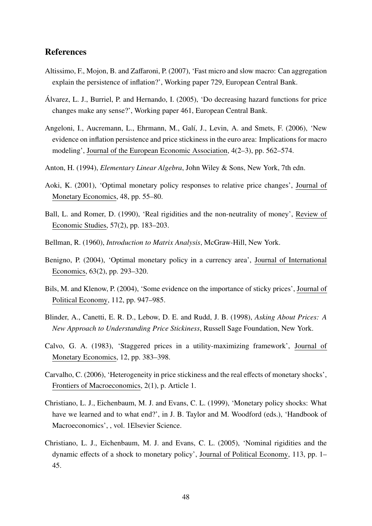# References

- Altissimo, F., Mojon, B. and Zaffaroni, P. (2007), 'Fast micro and slow macro: Can aggregation explain the persistence of inflation?', Working paper 729, European Central Bank.
- Alvarez, L. J., Burriel, P. and Hernando, I. (2005), 'Do decreasing hazard functions for price ´ changes make any sense?', Working paper 461, European Central Bank.
- Angeloni, I., Aucremann, L., Ehrmann, M., Galí, J., Levin, A. and Smets, F. (2006), 'New evidence on inflation persistence and price stickiness in the euro area: Implications for macro modeling', Journal of the European Economic Association, 4(2–3), pp. 562–574.
- Anton, H. (1994), *Elementary Linear Algebra*, John Wiley & Sons, New York, 7th edn.
- Aoki, K. (2001), 'Optimal monetary policy responses to relative price changes', Journal of Monetary Economics, 48, pp. 55–80.
- Ball, L. and Romer, D. (1990), 'Real rigidities and the non-neutrality of money', Review of Economic Studies, 57(2), pp. 183–203.
- Bellman, R. (1960), *Introduction to Matrix Analysis*, McGraw-Hill, New York.
- Benigno, P. (2004), 'Optimal monetary policy in a currency area', Journal of International Economics, 63(2), pp. 293–320.
- Bils, M. and Klenow, P. (2004), 'Some evidence on the importance of sticky prices', Journal of Political Economy, 112, pp. 947–985.
- Blinder, A., Canetti, E. R. D., Lebow, D. E. and Rudd, J. B. (1998), *Asking About Prices: A New Approach to Understanding Price Stickiness*, Russell Sage Foundation, New York.
- Calvo, G. A. (1983), 'Staggered prices in a utility-maximizing framework', Journal of Monetary Economics, 12, pp. 383–398.
- Carvalho, C. (2006), 'Heterogeneity in price stickiness and the real effects of monetary shocks', Frontiers of Macroeconomics, 2(1), p. Article 1.
- Christiano, L. J., Eichenbaum, M. J. and Evans, C. L. (1999), 'Monetary policy shocks: What have we learned and to what end?', in J. B. Taylor and M. Woodford (eds.), 'Handbook of Macroeconomics', , vol. 1Elsevier Science.
- Christiano, L. J., Eichenbaum, M. J. and Evans, C. L. (2005), 'Nominal rigidities and the dynamic effects of a shock to monetary policy', Journal of Political Economy, 113, pp. 1– 45.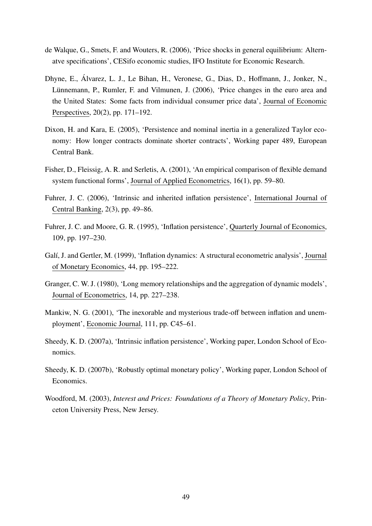- de Walque, G., Smets, F. and Wouters, R. (2006), 'Price shocks in general equilibrium: Alternatve specifications', CESifo economic studies, IFO Institute for Economic Research.
- Dhyne, E., Álvarez, L. J., Le Bihan, H., Veronese, G., Dias, D., Hoffmann, J., Jonker, N., Lünnemann, P., Rumler, F. and Vilmunen, J. (2006), 'Price changes in the euro area and the United States: Some facts from individual consumer price data', Journal of Economic Perspectives, 20(2), pp. 171–192.
- Dixon, H. and Kara, E. (2005), 'Persistence and nominal inertia in a generalized Taylor economy: How longer contracts dominate shorter contracts', Working paper 489, European Central Bank.
- Fisher, D., Fleissig, A. R. and Serletis, A. (2001), 'An empirical comparison of flexible demand system functional forms', Journal of Applied Econometrics, 16(1), pp. 59–80.
- Fuhrer, J. C. (2006), 'Intrinsic and inherited inflation persistence', International Journal of Central Banking, 2(3), pp. 49–86.
- Fuhrer, J. C. and Moore, G. R. (1995), 'Inflation persistence', Quarterly Journal of Economics, 109, pp. 197–230.
- Galí, J. and Gertler, M. (1999), 'Inflation dynamics: A structural econometric analysis', Journal of Monetary Economics, 44, pp. 195–222.
- Granger, C. W. J. (1980), 'Long memory relationships and the aggregation of dynamic models', Journal of Econometrics, 14, pp. 227–238.
- Mankiw, N. G. (2001), 'The inexorable and mysterious trade-off between inflation and unemployment', Economic Journal, 111, pp. C45–61.
- Sheedy, K. D. (2007a), 'Intrinsic inflation persistence', Working paper, London School of Economics.
- Sheedy, K. D. (2007b), 'Robustly optimal monetary policy', Working paper, London School of Economics.
- Woodford, M. (2003), *Interest and Prices: Foundations of a Theory of Monetary Policy*, Princeton University Press, New Jersey.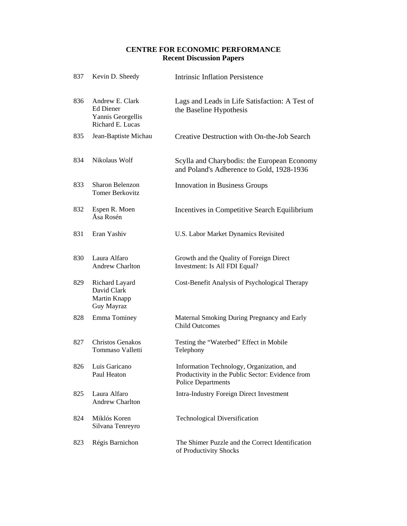# **CENTRE FOR ECONOMIC PERFORMANCE Recent Discussion Papers**

| 837 | Kevin D. Sheedy                                                              | <b>Intrinsic Inflation Persistence</b>                                                                                     |
|-----|------------------------------------------------------------------------------|----------------------------------------------------------------------------------------------------------------------------|
| 836 | Andrew E. Clark<br><b>Ed Diener</b><br>Yannis Georgellis<br>Richard E. Lucas | Lags and Leads in Life Satisfaction: A Test of<br>the Baseline Hypothesis                                                  |
| 835 | Jean-Baptiste Michau                                                         | Creative Destruction with On-the-Job Search                                                                                |
| 834 | Nikolaus Wolf                                                                | Scylla and Charybodis: the European Economy<br>and Poland's Adherence to Gold, 1928-1936                                   |
| 833 | Sharon Belenzon<br><b>Tomer Berkovitz</b>                                    | <b>Innovation in Business Groups</b>                                                                                       |
| 832 | Espen R. Moen<br>Åsa Rosén                                                   | Incentives in Competitive Search Equilibrium                                                                               |
| 831 | Eran Yashiv                                                                  | U.S. Labor Market Dynamics Revisited                                                                                       |
| 830 | Laura Alfaro<br><b>Andrew Charlton</b>                                       | Growth and the Quality of Foreign Direct<br>Investment: Is All FDI Equal?                                                  |
| 829 | Richard Layard<br>David Clark<br>Martin Knapp<br>Guy Mayraz                  | Cost-Benefit Analysis of Psychological Therapy                                                                             |
| 828 | Emma Tominey                                                                 | Maternal Smoking During Pregnancy and Early<br><b>Child Outcomes</b>                                                       |
| 827 | <b>Christos Genakos</b><br>Tommaso Valletti                                  | Testing the "Waterbed" Effect in Mobile<br>Telephony                                                                       |
| 826 | Luis Garicano<br>Paul Heaton                                                 | Information Technology, Organization, and<br>Productivity in the Public Sector: Evidence from<br><b>Police Departments</b> |
| 825 | Laura Alfaro<br><b>Andrew Charlton</b>                                       | <b>Intra-Industry Foreign Direct Investment</b>                                                                            |
| 824 | Miklós Koren<br>Silvana Tenreyro                                             | <b>Technological Diversification</b>                                                                                       |
| 823 | Régis Barnichon                                                              | The Shimer Puzzle and the Correct Identification<br>of Productivity Shocks                                                 |